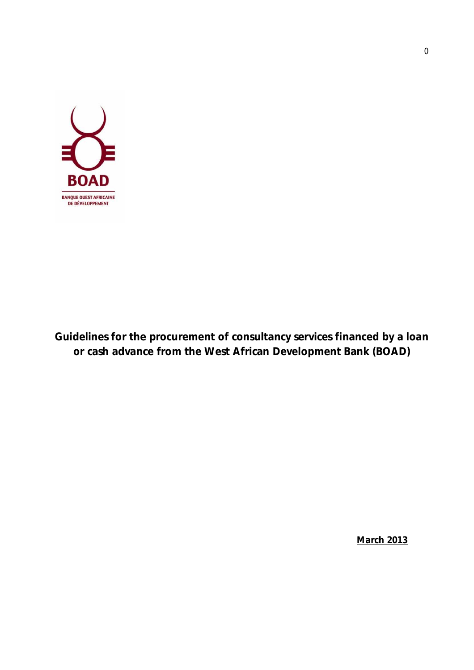

**Guidelines for the procurement of consultancy services financed by a loan or cash advance from the West African Development Bank (BOAD)**

**March 2013**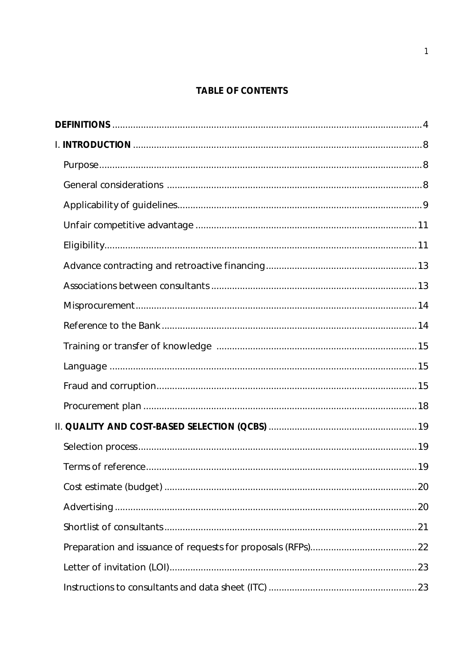# **TABLE OF CONTENTS**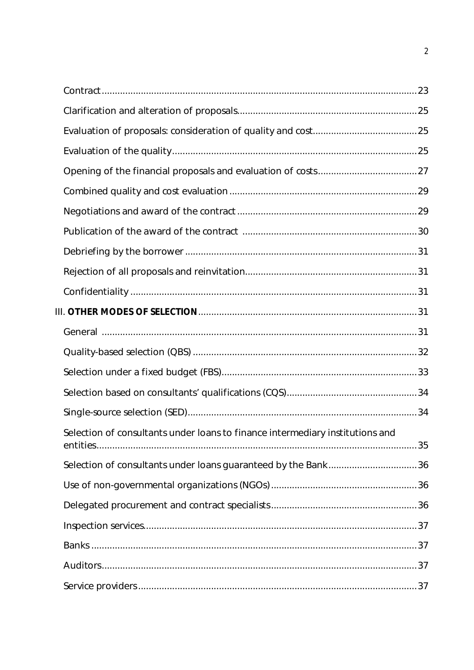| Selection of consultants under loans to finance intermediary institutions and |  |
|-------------------------------------------------------------------------------|--|
| Selection of consultants under loans guaranteed by the Bank36                 |  |
|                                                                               |  |
|                                                                               |  |
|                                                                               |  |
|                                                                               |  |
|                                                                               |  |
|                                                                               |  |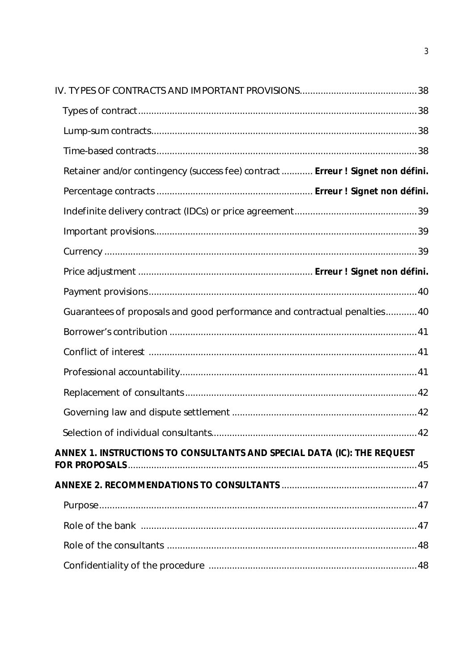| Retainer and/or contingency (success fee) contract  Erreur ! Signet non défini. |  |
|---------------------------------------------------------------------------------|--|
|                                                                                 |  |
|                                                                                 |  |
|                                                                                 |  |
|                                                                                 |  |
|                                                                                 |  |
|                                                                                 |  |
| Guarantees of proposals and good performance and contractual penalties40        |  |
|                                                                                 |  |
|                                                                                 |  |
|                                                                                 |  |
|                                                                                 |  |
|                                                                                 |  |
|                                                                                 |  |
| ANNEX 1. INSTRUCTIONS TO CONSULTANTS AND SPECIAL DATA (IC): THE REQUEST         |  |
|                                                                                 |  |
|                                                                                 |  |
|                                                                                 |  |
|                                                                                 |  |
|                                                                                 |  |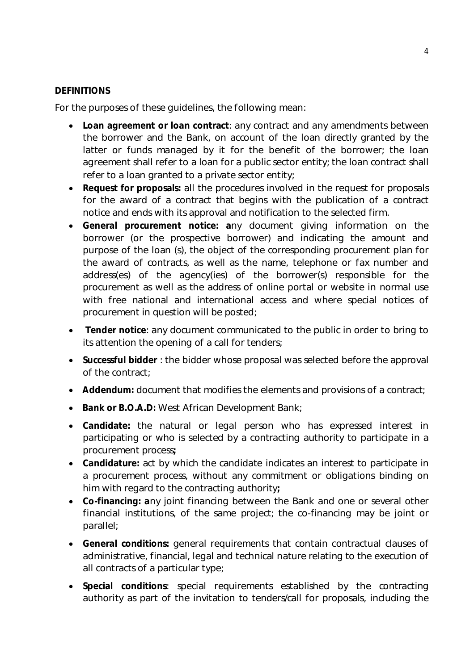### **DEFINITIONS**

For the purposes of these guidelines, the following mean:

- **Loan agreement or loan contract**: any contract and any amendments between the borrower and the Bank, on account of the loan directly granted by the latter or funds managed by it for the benefit of the borrower; the loan agreement shall refer to a loan for a public sector entity; the loan contract shall refer to a loan granted to a private sector entity;
- **Request for proposals:** all the procedures involved in the request for proposals for the award of a contract that begins with the publication of a contract notice and ends with its approval and notification to the selected firm.
- **General procurement notice: a**ny document giving information on the borrower (or the prospective borrower) and indicating the amount and purpose of the loan (s), the object of the corresponding procurement plan for the award of contracts, as well as the name, telephone or fax number and address(es) of the agency(ies) of the borrower(s) responsible for the procurement as well as the address of online portal or website in normal use with free national and international access and where special notices of procurement in question will be posted;
- **Tender notice**: any document communicated to the public in order to bring to its attention the opening of a call for tenders;
- **Successful bidder** : the bidder whose proposal was selected before the approval of the contract;
- **Addendum:** document that modifies the elements and provisions of a contract;
- **Bank or B.O.A.D:** West African Development Bank;
- **Candidate:** the natural or legal person who has expressed interest in participating or who is selected by a contracting authority to participate in a procurement process**;**
- **Candidature:** act by which the candidate indicates an interest to participate in a procurement process, without any commitment or obligations binding on him with regard to the contracting authority**;**
- **Co-financing: a**ny joint financing between the Bank and one or several other financial institutions, of the same project; the co-financing may be joint or parallel;
- **General conditions:** general requirements that contain contractual clauses of administrative, financial, legal and technical nature relating to the execution of all contracts of a particular type;
- **Special conditions**: special requirements established by the contracting authority as part of the invitation to tenders/call for proposals, including the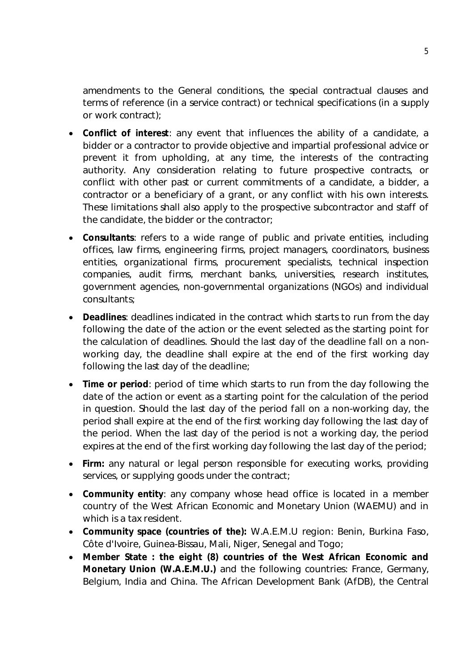amendments to the General conditions, the special contractual clauses and terms of reference (in a service contract) or technical specifications (in a supply or work contract);

- **Conflict of interest**: any event that influences the ability of a candidate, a bidder or a contractor to provide objective and impartial professional advice or prevent it from upholding, at any time, the interests of the contracting authority. Any consideration relating to future prospective contracts, or conflict with other past or current commitments of a candidate, a bidder, a contractor or a beneficiary of a grant, or any conflict with his own interests. These limitations shall also apply to the prospective subcontractor and staff of the candidate, the bidder or the contractor;
- **Consultants**: refers to a wide range of public and private entities, including offices, law firms, engineering firms, project managers, coordinators, business entities, organizational firms, procurement specialists, technical inspection companies, audit firms, merchant banks, universities, research institutes, government agencies, non-governmental organizations (NGOs) and individual consultants;
- **Deadlines**: deadlines indicated in the contract which starts to run from the day following the date of the action or the event selected as the starting point for the calculation of deadlines. Should the last day of the deadline fall on a nonworking day, the deadline shall expire at the end of the first working day following the last day of the deadline;
- **Time or period**: period of time which starts to run from the day following the date of the action or event as a starting point for the calculation of the period in question. Should the last day of the period fall on a non-working day, the period shall expire at the end of the first working day following the last day of the period. When the last day of the period is not a working day, the period expires at the end of the first working day following the last day of the period;
- **Firm:** any natural or legal person responsible for executing works, providing services, or supplying goods under the contract;
- **Community entity**: any company whose head office is located in a member country of the West African Economic and Monetary Union (WAEMU) and in which is a tax resident.
- **Community space (countries of the):** W.A.E.M.U region: Benin, Burkina Faso, Côte d'Ivoire, Guinea-Bissau, Mali, Niger, Senegal and Togo;
- **Member State : the eight (8) countries of the West African Economic and Monetary Union (W.A.E.M.U.)** and the following countries: France, Germany, Belgium, India and China. The African Development Bank (AfDB), the Central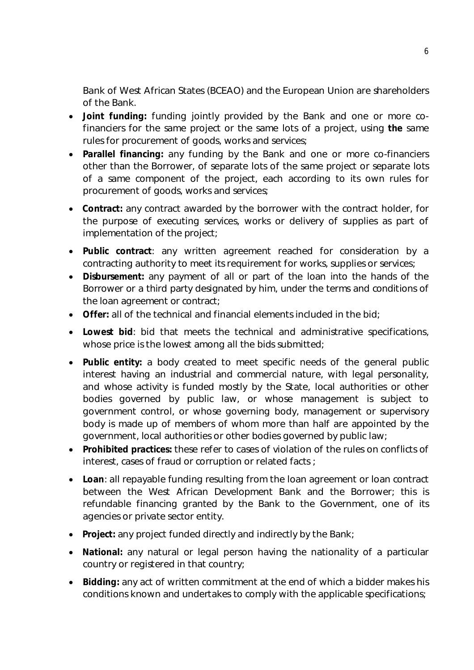Bank of West African States (BCEAO) and the European Union are shareholders of the Bank.

- **Joint funding:** funding jointly provided by the Bank and one or more cofinanciers for the same project or the same lots of a project, using **the** same rules for procurement of goods, works and services;
- **Parallel financing:** any funding by the Bank and one or more co-financiers other than the Borrower, of separate lots of the same project or separate lots of a same component of the project, each according to its own rules for procurement of goods, works and services;
- **Contract:** any contract awarded by the borrower with the contract holder, for the purpose of executing services, works or delivery of supplies as part of implementation of the project;
- **Public contract**: any written agreement reached for consideration by a contracting authority to meet its requirement for works, supplies or services;
- **Disbursement:** any payment of all or part of the loan into the hands of the Borrower or a third party designated by him, under the terms and conditions of the loan agreement or contract;
- **Offer:** all of the technical and financial elements included in the bid;
- **Lowest bid**: bid that meets the technical and administrative specifications, whose price is the lowest among all the bids submitted;
- **Public entity:** a body created to meet specific needs of the general public interest having an industrial and commercial nature, with legal personality, and whose activity is funded mostly by the State, local authorities or other bodies governed by public law, or whose management is subject to government control, or whose governing body, management or supervisory body is made up of members of whom more than half are appointed by the government, local authorities or other bodies governed by public law;
- **Prohibited practices:** these refer to cases of violation of the rules on conflicts of interest, cases of fraud or corruption or related facts ;
- **Loan**: all repayable funding resulting from the loan agreement or loan contract between the West African Development Bank and the Borrower; this is refundable financing granted by the Bank to the Government, one of its agencies or private sector entity.
- **Project:** any project funded directly and indirectly by the Bank;
- **National:** any natural or legal person having the nationality of a particular country or registered in that country;
- **Bidding:** any act of written commitment at the end of which a bidder makes his conditions known and undertakes to comply with the applicable specifications;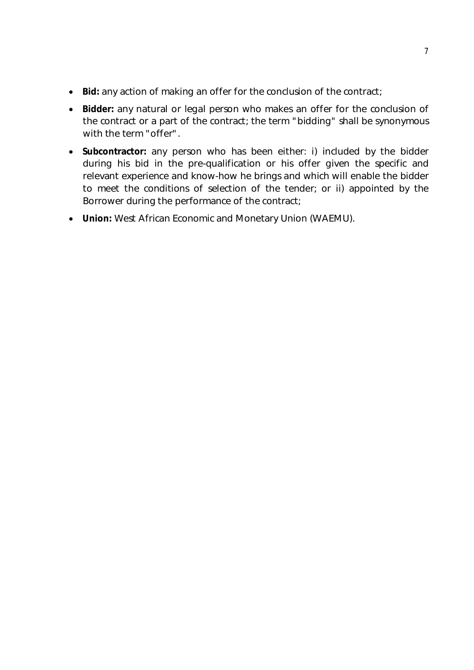- Bid: any action of making an offer for the conclusion of the contract;
- **Bidder:** any natural or legal person who makes an offer for the conclusion of the contract or a part of the contract; the term "bidding" shall be synonymous with the term "offer".
- **Subcontractor:** any person who has been either: i) included by the bidder during his bid in the pre-qualification or his offer given the specific and relevant experience and know-how he brings and which will enable the bidder to meet the conditions of selection of the tender; or ii) appointed by the Borrower during the performance of the contract;
- **Union:** West African Economic and Monetary Union (WAEMU).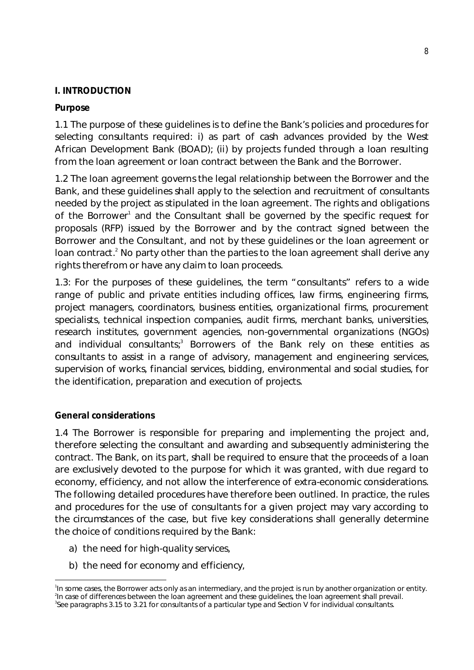### **I. INTRODUCTION**

### **Purpose**

1.1 The purpose of these guidelines is to define the Bank's policies and procedures for selecting consultants required: i) as part of cash advances provided by the West African Development Bank (BOAD); (ii) by projects funded through a loan resulting from the loan agreement or loan contract between the Bank and the Borrower.

1.2 The loan agreement governs the legal relationship between the Borrower and the Bank, and these guidelines shall apply to the selection and recruitment of consultants needed by the project as stipulated in the loan agreement. The rights and obligations of the Borrower<sup>1</sup> and the Consultant shall be governed by the specific request for proposals (RFP) issued by the Borrower and by the contract signed between the Borrower and the Consultant, and not by these guidelines or the loan agreement or loan contract.<sup>2</sup> No party other than the parties to the loan agreement shall derive any rights therefrom or have any claim to loan proceeds.

1.3: For the purposes of these guidelines, the term "consultants" refers to a wide range of public and private entities including offices, law firms, engineering firms, project managers, coordinators, business entities, organizational firms, procurement specialists, technical inspection companies, audit firms, merchant banks, universities, research institutes, government agencies, non-governmental organizations (NGOs) and individual consultants; $<sup>3</sup>$  Borrowers of the Bank rely on these entities as</sup> consultants to assist in a range of advisory, management and engineering services, supervision of works, financial services, bidding, environmental and social studies, for the identification, preparation and execution of projects.

#### **General considerations**

-

1.4 The Borrower is responsible for preparing and implementing the project and, therefore selecting the consultant and awarding and subsequently administering the contract. The Bank, on its part, shall be required to ensure that the proceeds of a loan are exclusively devoted to the purpose for which it was granted, with due regard to economy, efficiency, and not allow the interference of extra-economic considerations. The following detailed procedures have therefore been outlined. In practice, the rules and procedures for the use of consultants for a given project may vary according to the circumstances of the case, but five key considerations shall generally determine the choice of conditions required by the Bank:

- a) the need for high-quality services,
- b) the need for economy and efficiency,

<sup>1</sup> In some cases, the Borrower acts only as an intermediary, and the project is run by another organization or entity. 2 In case of differences between the loan agreement and these guidelines, the loan agreement shall prevail. 3 See paragraphs 3.15 to 3.21 for consultants of a particular type and Section V for individual consultants.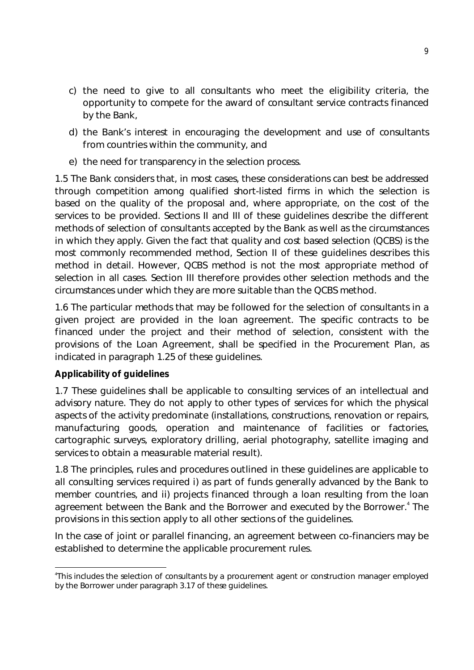- c) the need to give to all consultants who meet the eligibility criteria, the opportunity to compete for the award of consultant service contracts financed by the Bank,
- d) the Bank's interest in encouraging the development and use of consultants from countries within the community, and
- e) the need for transparency in the selection process.

1.5 The Bank considers that, in most cases, these considerations can best be addressed through competition among qualified short-listed firms in which the selection is based on the quality of the proposal and, where appropriate, on the cost of the services to be provided. Sections II and III of these guidelines describe the different methods of selection of consultants accepted by the Bank as well as the circumstances in which they apply. Given the fact that quality and cost based selection (QCBS) is the most commonly recommended method, Section II of these guidelines describes this method in detail. However, QCBS method is not the most appropriate method of selection in all cases. Section III therefore provides other selection methods and the circumstances under which they are more suitable than the QCBS method.

1.6 The particular methods that may be followed for the selection of consultants in a given project are provided in the loan agreement. The specific contracts to be financed under the project and their method of selection, consistent with the provisions of the Loan Agreement, shall be specified in the Procurement Plan, as indicated in paragraph 1.25 of these guidelines.

# **Applicability of guidelines**

1.7 These guidelines shall be applicable to consulting services of an intellectual and advisory nature. They do not apply to other types of services for which the physical aspects of the activity predominate (installations, constructions, renovation or repairs, manufacturing goods, operation and maintenance of facilities or factories, cartographic surveys, exploratory drilling, aerial photography, satellite imaging and services to obtain a measurable material result).

1.8 The principles, rules and procedures outlined in these guidelines are applicable to all consulting services required i) as part of funds generally advanced by the Bank to member countries, and ii) projects financed through a loan resulting from the loan agreement between the Bank and the Borrower and executed by the Borrower.<sup>4</sup> The provisions in this section apply to all other sections of the guidelines.

In the case of joint or parallel financing, an agreement between co-financiers may be established to determine the applicable procurement rules.

<sup>-</sup>4 This includes the selection of consultants by a procurement agent or construction manager employed by the Borrower under paragraph 3.17 of these guidelines.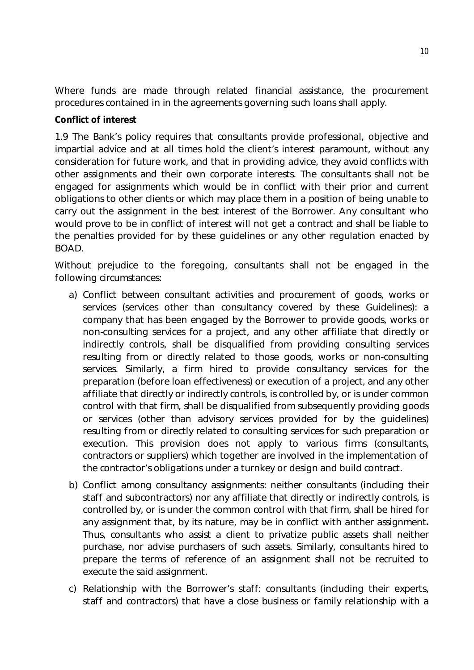Where funds are made through related financial assistance, the procurement procedures contained in in the agreements governing such loans shall apply.

### **Conflict of interest**

1.9 The Bank's policy requires that consultants provide professional, objective and impartial advice and at all times hold the client's interest paramount, without any consideration for future work, and that in providing advice, they avoid conflicts with other assignments and their own corporate interests. The consultants shall not be engaged for assignments which would be in conflict with their prior and current obligations to other clients or which may place them in a position of being unable to carry out the assignment in the best interest of the Borrower. Any consultant who would prove to be in conflict of interest will not get a contract and shall be liable to the penalties provided for by these guidelines or any other regulation enacted by BOAD.

Without prejudice to the foregoing, consultants shall not be engaged in the following circumstances:

- a) Conflict between consultant activities and procurement of goods, works or services (services other than consultancy covered by these Guidelines): a company that has been engaged by the Borrower to provide goods, works or non-consulting services for a project, and any other affiliate that directly or indirectly controls, shall be disqualified from providing consulting services resulting from or directly related to those goods, works or non-consulting services. Similarly, a firm hired to provide consultancy services for the preparation (before loan effectiveness) or execution of a project, and any other affiliate that directly or indirectly controls, is controlled by, or is under common control with that firm, shall be disqualified from subsequently providing goods or services (other than advisory services provided for by the guidelines) resulting from or directly related to consulting services for such preparation or execution. This provision does not apply to various firms (consultants, contractors or suppliers) which together are involved in the implementation of the contractor's obligations under a turnkey or design and build contract.
- b) Conflict among consultancy assignments: neither consultants (including their staff and subcontractors) nor any affiliate that directly or indirectly controls, is controlled by, or is under the common control with that firm, shall be hired for any assignment that, by its nature, may be in conflict with anther assignment**.** Thus, consultants who assist a client to privatize public assets shall neither purchase, nor advise purchasers of such assets. Similarly, consultants hired to prepare the terms of reference of an assignment shall not be recruited to execute the said assignment.
- c) Relationship with the Borrower's staff: consultants (including their experts, staff and contractors) that have a close business or family relationship with a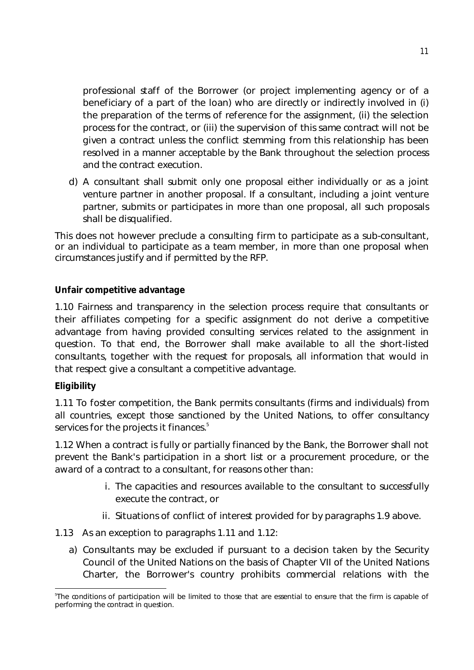professional staff of the Borrower (or project implementing agency or of a beneficiary of a part of the loan) who are directly or indirectly involved in (i) the preparation of the terms of reference for the assignment, (ii) the selection process for the contract, or (iii) the supervision of this same contract will not be given a contract unless the conflict stemming from this relationship has been resolved in a manner acceptable by the Bank throughout the selection process and the contract execution.

d) A consultant shall submit only one proposal either individually or as a joint venture partner in another proposal. If a consultant, including a joint venture partner, submits or participates in more than one proposal, all such proposals shall be disqualified.

This does not however preclude a consulting firm to participate as a sub-consultant, or an individual to participate as a team member, in more than one proposal when circumstances justify and if permitted by the RFP.

# **Unfair competitive advantage**

1.10 Fairness and transparency in the selection process require that consultants or their affiliates competing for a specific assignment do not derive a competitive advantage from having provided consulting services related to the assignment in question. To that end, the Borrower shall make available to all the short-listed consultants, together with the request for proposals, all information that would in that respect give a consultant a competitive advantage.

# **Eligibility**

1.11 To foster competition, the Bank permits consultants (firms and individuals) from all countries, except those sanctioned by the United Nations, to offer consultancy services for the projects it finances.<sup>5</sup>

1.12 When a contract is fully or partially financed by the Bank, the Borrower shall not prevent the Bank's participation in a short list or a procurement procedure, or the award of a contract to a consultant, for reasons other than:

- i. The capacities and resources available to the consultant to successfully execute the contract, or
- ii. Situations of conflict of interest provided for by paragraphs 1.9 above.
- 1.13 As an exception to paragraphs 1.11 and 1.12:
	- a) Consultants may be excluded if pursuant to a decision taken by the Security Council of the United Nations on the basis of Chapter VII of the United Nations Charter, the Borrower's country prohibits commercial relations with the

**<sup>.</sup>** 5 The conditions of participation will be limited to those that are essential to ensure that the firm is capable of performing the contract in question.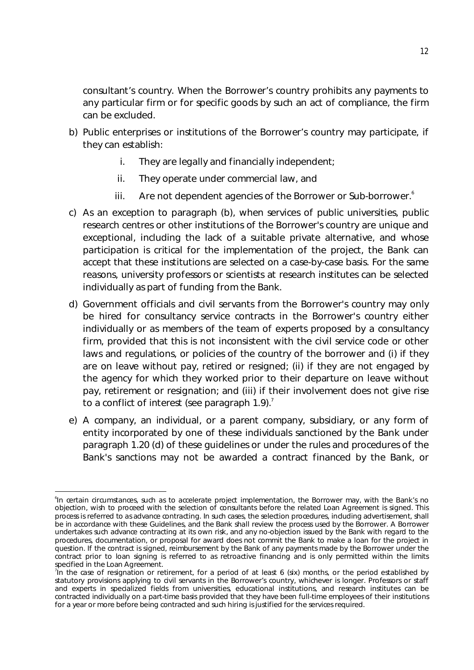consultant's country. When the Borrower's country prohibits any payments to any particular firm or for specific goods by such an act of compliance, the firm can be excluded.

- b) Public enterprises or institutions of the Borrower's country may participate, if they can establish:
	- i. They are legally and financially independent;
	- ii. They operate under commercial law, and
	- iii. Are not dependent agencies of the Borrower or Sub-borrower.<sup>6</sup>
- c) As an exception to paragraph (b), when services of public universities, public research centres or other institutions of the Borrower's country are unique and exceptional, including the lack of a suitable private alternative, and whose participation is critical for the implementation of the project, the Bank can accept that these institutions are selected on a case-by-case basis. For the same reasons, university professors or scientists at research institutes can be selected individually as part of funding from the Bank.
- d) Government officials and civil servants from the Borrower's country may only be hired for consultancy service contracts in the Borrower's country either individually or as members of the team of experts proposed by a consultancy firm, provided that this is not inconsistent with the civil service code or other laws and regulations, or policies of the country of the borrower and (i) if they are on leave without pay, retired or resigned; (ii) if they are not engaged by the agency for which they worked prior to their departure on leave without pay, retirement or resignation; and (iii) if their involvement does not give rise to a conflict of interest (see paragraph  $1.9$ ).<sup>7</sup>
- e) A company, an individual, or a parent company, subsidiary, or any form of entity incorporated by one of these individuals sanctioned by the Bank under paragraph 1.20 (d) of these guidelines or under the rules and procedures of the Bank's sanctions may not be awarded a contract financed by the Bank, or

<sup>-</sup>6 In certain circumstances, such as to accelerate project implementation, the Borrower may, with the Bank's no objection, wish to proceed with the selection of consultants before the related Loan Agreement is signed. This process is referred to as advance contracting. In such cases, the selection procedures, including advertisement, shall be in accordance with these Guidelines, and the Bank shall review the process used by the Borrower. A Borrower undertakes such advance contracting at its own risk, and any no-objection issued by the Bank with regard to the procedures, documentation, or proposal for award does not commit the Bank to make a loan for the project in question. If the contract is signed, reimbursement by the Bank of any payments made by the Borrower under the contract prior to loan signing is referred to as retroactive financing and is only permitted within the limits specified in the Loan Agreement.

<sup>&</sup>lt;sup>7</sup> In the case of resignation or retirement, for a period of at least 6 (six) months, or the period established by statutory provisions applying to civil servants in the Borrower's country, whichever is longer. Professors or staff and experts in specialized fields from universities, educational institutions, and research institutes can be contracted individually on a part-time basis provided that they have been full-time employees of their institutions for a year or more before being contracted and such hiring is justified for the services required.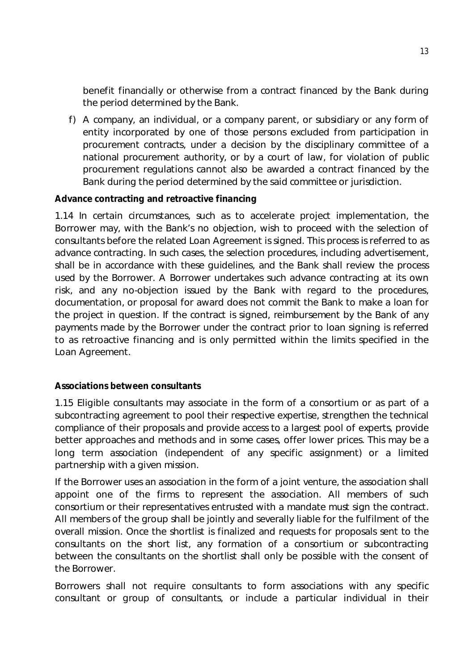benefit financially or otherwise from a contract financed by the Bank during the period determined by the Bank.

f) A company, an individual, or a company parent, or subsidiary or any form of entity incorporated by one of those persons excluded from participation in procurement contracts, under a decision by the disciplinary committee of a national procurement authority, or by a court of law, for violation of public procurement regulations cannot also be awarded a contract financed by the Bank during the period determined by the said committee or jurisdiction.

# **Advance contracting and retroactive financing**

1.14 In certain circumstances, such as to accelerate project implementation, the Borrower may, with the Bank's no objection, wish to proceed with the selection of consultants before the related Loan Agreement is signed. This process is referred to as advance contracting. In such cases, the selection procedures, including advertisement, shall be in accordance with these guidelines, and the Bank shall review the process used by the Borrower. A Borrower undertakes such advance contracting at its own risk, and any no-objection issued by the Bank with regard to the procedures, documentation, or proposal for award does not commit the Bank to make a loan for the project in question. If the contract is signed, reimbursement by the Bank of any payments made by the Borrower under the contract prior to loan signing is referred to as retroactive financing and is only permitted within the limits specified in the Loan Agreement.

#### **Associations between consultants**

1.15 Eligible consultants may associate in the form of a consortium or as part of a subcontracting agreement to pool their respective expertise, strengthen the technical compliance of their proposals and provide access to a largest pool of experts, provide better approaches and methods and in some cases, offer lower prices. This may be a long term association (independent of any specific assignment) or a limited partnership with a given mission.

If the Borrower uses an association in the form of a joint venture, the association shall appoint one of the firms to represent the association. All members of such consortium or their representatives entrusted with a mandate must sign the contract. All members of the group shall be jointly and severally liable for the fulfilment of the overall mission. Once the shortlist is finalized and requests for proposals sent to the consultants on the short list, any formation of a consortium or subcontracting between the consultants on the shortlist shall only be possible with the consent of the Borrower.

Borrowers shall not require consultants to form associations with any specific consultant or group of consultants, or include a particular individual in their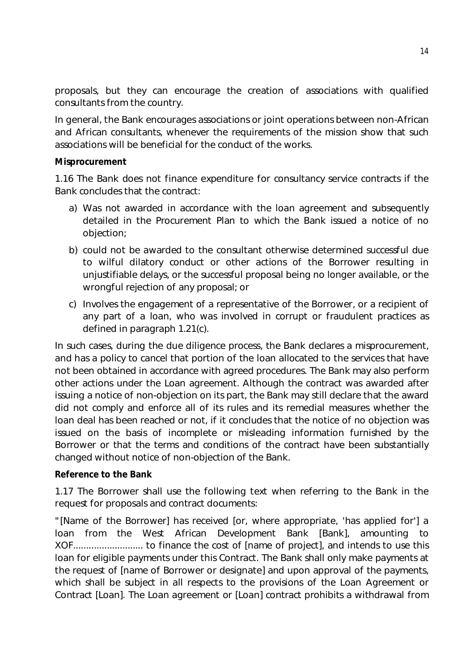proposals, but they can encourage the creation of associations with qualified consultants from the country.

In general, the Bank encourages associations or joint operations between non-African and African consultants, whenever the requirements of the mission show that such associations will be beneficial for the conduct of the works.

#### **Misprocurement**

1.16 The Bank does not finance expenditure for consultancy service contracts if the Bank concludes that the contract:

- a) Was not awarded in accordance with the loan agreement and subsequently detailed in the Procurement Plan to which the Bank issued a notice of no objection;
- b) could not be awarded to the consultant otherwise determined successful due to wilful dilatory conduct or other actions of the Borrower resulting in unjustifiable delays, or the successful proposal being no longer available, or the wrongful rejection of any proposal; or
- c) Involves the engagement of a representative of the Borrower, or a recipient of any part of a loan, who was involved in corrupt or fraudulent practices as defined in paragraph 1.21(c).

In such cases, during the due diligence process, the Bank declares a misprocurement, and has a policy to cancel that portion of the loan allocated to the services that have not been obtained in accordance with agreed procedures. The Bank may also perform other actions under the Loan agreement. Although the contract was awarded after issuing a notice of non-objection on its part, the Bank may still declare that the award did not comply and enforce all of its rules and its remedial measures whether the loan deal has been reached or not, if it concludes that the notice of no objection was issued on the basis of incomplete or misleading information furnished by the Borrower or that the terms and conditions of the contract have been substantially changed without notice of non-objection of the Bank.

# **Reference to the Bank**

1.17 The Borrower shall use the following text when referring to the Bank in the request for proposals and contract documents:

*"[Name of the Borrower] has received [or, where appropriate, 'has applied for'] a*  loan from the West African Development Bank [Bank], amounting to *XOF........................... to finance the cost of [name of project], and intends to use this loan for eligible payments under this Contract. The Bank shall only make payments at the request of [name of Borrower or designate] and upon approval of the payments, which shall be subject in all respects to the provisions of the Loan Agreement or Contract [Loan]. The Loan agreement or [Loan] contract prohibits a withdrawal from*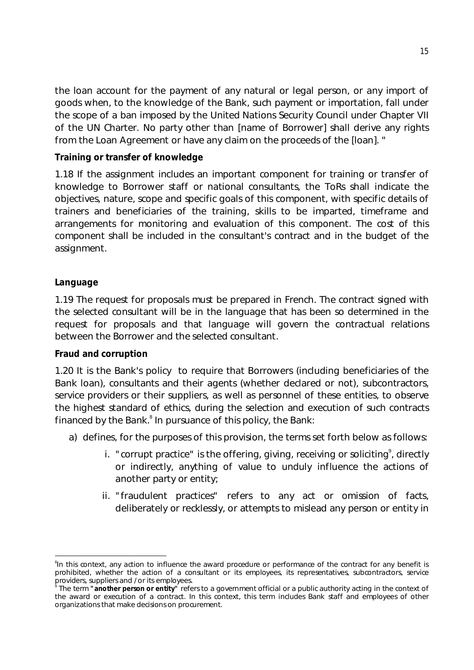*the loan account for the payment of any natural or legal person, or any import of goods when, to the knowledge of the Bank, such payment or importation, fall under the scope of a ban imposed by the United Nations Security Council under Chapter VII of the UN Charter. No party other than [name of Borrower] shall derive any rights from the Loan Agreement or have any claim on the proceeds of the [loan]. "*

### **Training or transfer of knowledge**

1.18 If the assignment includes an important component for training or transfer of knowledge to Borrower staff or national consultants, the ToRs shall indicate the objectives, nature, scope and specific goals of this component, with specific details of trainers and beneficiaries of the training, skills to be imparted, timeframe and arrangements for monitoring and evaluation of this component. The cost of this component shall be included in the consultant's contract and in the budget of the assignment.

#### **Language**

-

1.19 The request for proposals must be prepared in French. The contract signed with the selected consultant will be in the language that has been so determined in the request for proposals and that language will govern the contractual relations between the Borrower and the selected consultant.

#### **Fraud and corruption**

1.20 It is the Bank's policy to require that Borrowers (including beneficiaries of the Bank loan), consultants and their agents (whether declared or not), subcontractors, service providers or their suppliers, as well as personnel of these entities, to observe the highest standard of ethics, during the selection and execution of such contracts financed by the Bank.<sup>8</sup> In pursuance of this policy, the Bank:

- a) defines, for the purposes of this provision, the terms set forth below as follows:
	- i. "corrupt practice" is the offering, giving, receiving or soliciting<sup>9</sup>, directly or indirectly, anything of value to unduly influence the actions of another party or entity;
	- ii. "fraudulent practices" refers to any act or omission of facts, deliberately or recklessly, or attempts to mislead any person or entity in

<sup>&</sup>lt;sup>8</sup>In this context, any action to influence the award procedure or performance of the contract for any benefit is prohibited, whether the action of a consultant or its employees, its representatives, subcontractors, service providers, suppliers and / or its employees.<br>
The term **"another narean or entitu"** refe

The term **"another person or entity"** refers to a government official or a public authority acting in the context of the award or execution of a contract. In this context, this term includes Bank staff and employees of other organizations that make decisions on procurement.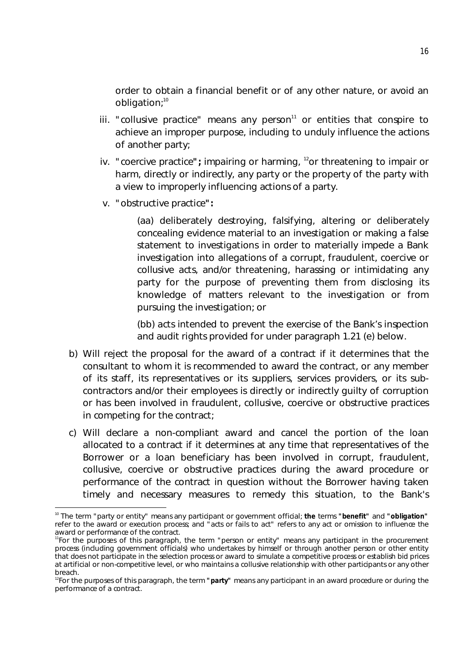order to obtain a financial benefit or of any other nature, or avoid an obligation;<sup>10</sup>

- iii. "collusive practice" means any person $11$  or entities that conspire to achieve an improper purpose, including to unduly influence the actions of another party;
- iv. "coercive practice"; impairing or harming, <sup>12</sup>or threatening to impair or harm, directly or indirectly, any party or the property of the party with a view to improperly influencing actions of a party.
- v. "obstructive practice**":**

(aa) deliberately destroying, falsifying, altering or deliberately concealing evidence material to an investigation or making a false statement to investigations in order to materially impede a Bank investigation into allegations of a corrupt, fraudulent, coercive or collusive acts, and/or threatening, harassing or intimidating any party for the purpose of preventing them from disclosing its knowledge of matters relevant to the investigation or from pursuing the investigation; or

(bb) acts intended to prevent the exercise of the Bank's inspection and audit rights provided for under paragraph 1.21 (e) below.

- b) Will reject the proposal for the award of a contract if it determines that the consultant to whom it is recommended to award the contract, or any member of its staff, its representatives or its suppliers, services providers, or its subcontractors and/or their employees is directly or indirectly guilty of corruption or has been involved in fraudulent, collusive, coercive or obstructive practices in competing for the contract;
- c) Will declare a non-compliant award and cancel the portion of the loan allocated to a contract if it determines at any time that representatives of the Borrower or a loan beneficiary has been involved in corrupt, fraudulent, collusive, coercive or obstructive practices during the award procedure or performance of the contract in question without the Borrower having taken timely and necessary measures to remedy this situation, to the Bank's

**<sup>.</sup>** <sup>10</sup> The term "party or entity" means any participant or government official; **the** terms **"benefit"** and **"obligation"** refer to the award or execution process; and "acts or fails to act" refers to any act or omission to influence the award or performance of the contract.

<sup>11</sup>For the purposes of this paragraph, the term "person or entity" means any participant in the procurement process (including government officials) who undertakes by himself or through another person or other entity that does not participate in the selection process or award to simulate a competitive process or establish bid prices at artificial or non-competitive level, or who maintains a collusive relationship with other participants or any other breach.

<sup>&</sup>lt;sup>12</sup>For the purposes of this paragraph, the term "party" means any participant in an award procedure or during the performance of a contract.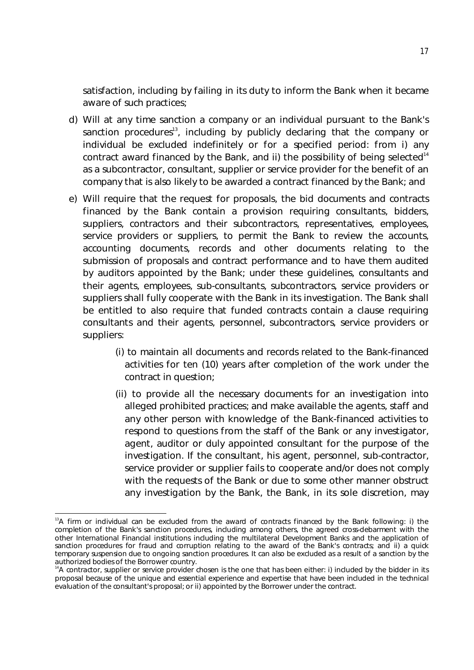satisfaction, including by failing in its duty to inform the Bank when it became aware of such practices;

- d) Will at any time sanction a company or an individual pursuant to the Bank's sanction procedures<sup>13</sup>, including by publicly declaring that the company or individual be excluded indefinitely or for a specified period: from i) any contract award financed by the Bank, and ii) the possibility of being selected $14$ as a subcontractor, consultant, supplier or service provider for the benefit of an company that is also likely to be awarded a contract financed by the Bank; and
- e) Will require that the request for proposals, the bid documents and contracts financed by the Bank contain a provision requiring consultants, bidders, suppliers, contractors and their subcontractors, representatives, employees, service providers or suppliers, to permit the Bank to review the accounts, accounting documents, records and other documents relating to the submission of proposals and contract performance and to have them audited by auditors appointed by the Bank; under these guidelines, consultants and their agents, employees, sub-consultants, subcontractors, service providers or suppliers shall fully cooperate with the Bank in its investigation. The Bank shall be entitled to also require that funded contracts contain a clause requiring consultants and their agents, personnel, subcontractors, service providers or suppliers:
	- (i) to maintain all documents and records related to the Bank-financed activities for ten (10) years after completion of the work under the contract in question;
	- (ii) to provide all the necessary documents for an investigation into alleged prohibited practices; and make available the agents, staff and any other person with knowledge of the Bank-financed activities to respond to questions from the staff of the Bank or any investigator, agent, auditor or duly appointed consultant for the purpose of the investigation. If the consultant, his agent, personnel, sub-contractor, service provider or supplier fails to cooperate and/or does not comply with the requests of the Bank or due to some other manner obstruct any investigation by the Bank, the Bank, in its sole discretion, may

<sup>-</sup> $13A$  firm or individual can be excluded from the award of contracts financed by the Bank following: i) the completion of the Bank's sanction procedures, including among others, the agreed cross-debarment with the other International Financial institutions including the multilateral Development Banks and the application of sanction procedures for fraud and corruption relating to the award of the Bank's contracts; and ii) a quick temporary suspension due to ongoing sanction procedures. It can also be excluded as a result of a sanction by the authorized bodies of the Borrower country.

<sup>&</sup>lt;sup>14</sup>A contractor, supplier or service provider chosen is the one that has been either: i) included by the bidder in its proposal because of the unique and essential experience and expertise that have been included in the technical evaluation of the consultant's proposal; or ii) appointed by the Borrower under the contract.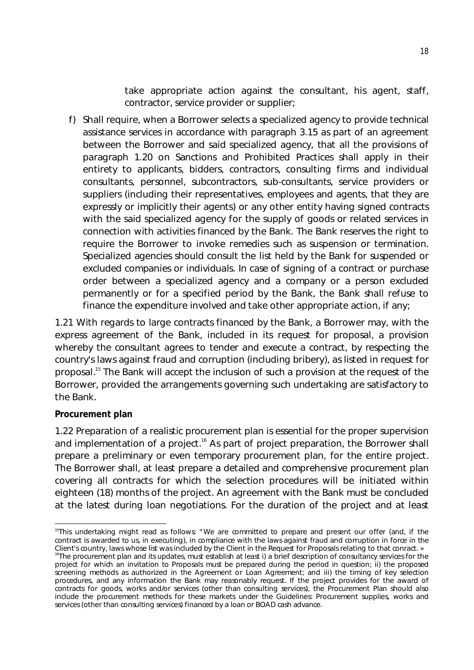take appropriate action against the consultant, his agent, staff, contractor, service provider or supplier;

f) Shall require, when a Borrower selects a specialized agency to provide technical assistance services in accordance with paragraph 3.15 as part of an agreement between the Borrower and said specialized agency, that all the provisions of paragraph 1.20 on Sanctions and Prohibited Practices shall apply in their entirety to applicants, bidders, contractors, consulting firms and individual consultants, personnel, subcontractors, sub-consultants, service providers or suppliers (including their representatives, employees and agents, that they are expressly or implicitly their agents) or any other entity having signed contracts with the said specialized agency for the supply of goods or related services in connection with activities financed by the Bank. The Bank reserves the right to require the Borrower to invoke remedies such as suspension or termination. Specialized agencies should consult the list held by the Bank for suspended or excluded companies or individuals. In case of signing of a contract or purchase order between a specialized agency and a company or a person excluded permanently or for a specified period by the Bank, the Bank shall refuse to finance the expenditure involved and take other appropriate action, if any;

1.21 With regards to large contracts financed by the Bank, a Borrower may, with the express agreement of the Bank, included in its request for proposal, a provision whereby the consultant agrees to tender and execute a contract, by respecting the country's laws against fraud and corruption (including bribery), as listed in request for proposal.<sup>15</sup> The Bank will accept the inclusion of such a provision at the request of the Borrower, provided the arrangements governing such undertaking are satisfactory to the Bank.

# **Procurement plan**

-

1.22 Preparation of a realistic procurement plan is essential for the proper supervision and implementation of a project.<sup>16</sup> As part of project preparation, the Borrower shall prepare a preliminary or even temporary procurement plan, for the entire project. The Borrower shall, at least prepare a detailed and comprehensive procurement plan covering all contracts for which the selection procedures will be initiated within eighteen (18) months of the project. An agreement with the Bank must be concluded at the latest during loan negotiations. For the duration of the project and at least

<sup>&</sup>lt;sup>15</sup>This undertaking might read as follows: "We are committed to prepare and present our offer (and, if the contract is awarded to us, in executing), in compliance with the laws against fraud and corruption in force in the Client's country, laws whose list was included by the Client in the Request for Proposals relating to that conract. » <sup>16</sup>The procurement plan and its updates, must establish at least i) a brief description of consultancy services for the

project for which an invitation to Proposals must be prepared during the period in question; ii) the proposed screening methods as authorized in the Agreement or Loan Agreement; and iii) the timing of key selection procedures, and any information the Bank may reasonably request. If the project provides for the award of contracts for goods, works and/or services (other than consulting services), the Procurement Plan should also include the procurement methods for these markets under the Guidelines: Procurement supplies, works and services (other than consulting services) financed by a loan or BOAD cash advance.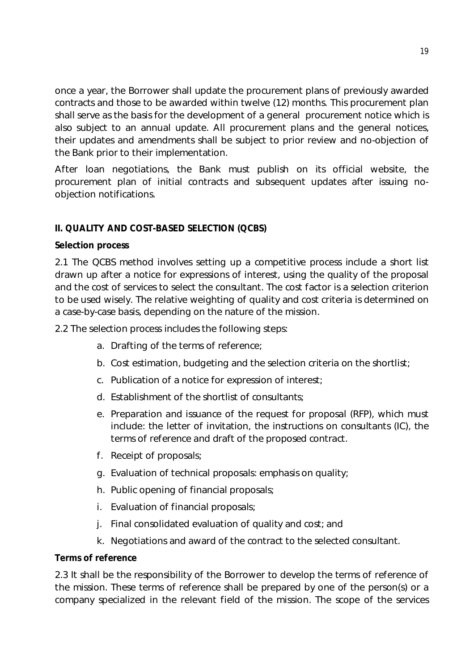once a year, the Borrower shall update the procurement plans of previously awarded contracts and those to be awarded within twelve (12) months. This procurement plan shall serve as the basis for the development of a general procurement notice which is also subject to an annual update. All procurement plans and the general notices, their updates and amendments shall be subject to prior review and no-objection of the Bank prior to their implementation.

After loan negotiations, the Bank must publish on its official website, the procurement plan of initial contracts and subsequent updates after issuing noobjection notifications.

# **II. QUALITY AND COST-BASED SELECTION (QCBS)**

#### **Selection process**

2.1 The QCBS method involves setting up a competitive process include a short list drawn up after a notice for expressions of interest, using the quality of the proposal and the cost of services to select the consultant. The cost factor is a selection criterion to be used wisely. The relative weighting of quality and cost criteria is determined on a case-by-case basis, depending on the nature of the mission.

2.2 The selection process includes the following steps:

- a. Drafting of the terms of reference;
- b. Cost estimation, budgeting and the selection criteria on the shortlist;
- c. Publication of a notice for expression of interest;
- d. Establishment of the shortlist of consultants;
- e. Preparation and issuance of the request for proposal (RFP), which must include: the letter of invitation, the instructions on consultants (IC), the terms of reference and draft of the proposed contract.
- f. Receipt of proposals;
- g. Evaluation of technical proposals: emphasis on quality;
- h. Public opening of financial proposals;
- i. Evaluation of financial proposals;
- j. Final consolidated evaluation of quality and cost; and
- k. Negotiations and award of the contract to the selected consultant.

#### **Terms of reference**

2.3 It shall be the responsibility of the Borrower to develop the terms of reference of the mission. These terms of reference shall be prepared by one of the person(s) or a company specialized in the relevant field of the mission. The scope of the services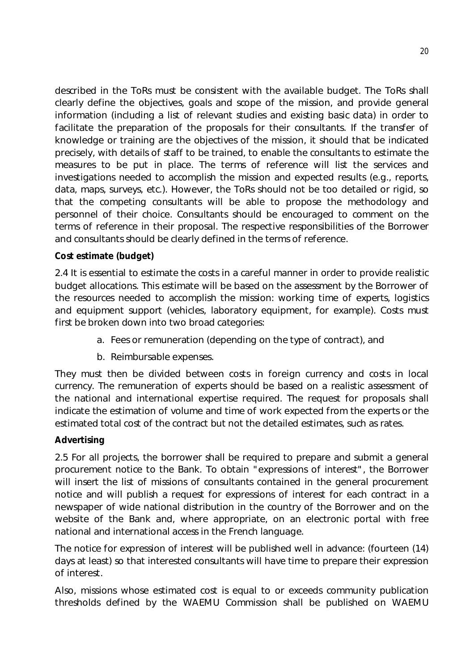described in the ToRs must be consistent with the available budget. The ToRs shall clearly define the objectives, goals and scope of the mission, and provide general information (including a list of relevant studies and existing basic data) in order to facilitate the preparation of the proposals for their consultants. If the transfer of knowledge or training are the objectives of the mission, it should that be indicated precisely, with details of staff to be trained, to enable the consultants to estimate the measures to be put in place. The terms of reference will list the services and investigations needed to accomplish the mission and expected results (e.g., reports, data, maps, surveys, etc.). However, the ToRs should not be too detailed or rigid, so that the competing consultants will be able to propose the methodology and personnel of their choice. Consultants should be encouraged to comment on the terms of reference in their proposal. The respective responsibilities of the Borrower and consultants should be clearly defined in the terms of reference.

### **Cost estimate (budget)**

2.4 It is essential to estimate the costs in a careful manner in order to provide realistic budget allocations. This estimate will be based on the assessment by the Borrower of the resources needed to accomplish the mission: working time of experts, logistics and equipment support (vehicles, laboratory equipment, for example). Costs must first be broken down into two broad categories:

- a. Fees or remuneration (depending on the type of contract), and
- b. Reimbursable expenses.

They must then be divided between costs in foreign currency and costs in local currency. The remuneration of experts should be based on a realistic assessment of the national and international expertise required. The request for proposals shall indicate the estimation of volume and time of work expected from the experts or the estimated total cost of the contract but not the detailed estimates, such as rates.

#### **Advertising**

2.5 For all projects, the borrower shall be required to prepare and submit a general procurement notice to the Bank. To obtain "expressions of interest", the Borrower will insert the list of missions of consultants contained in the general procurement notice and will publish a request for expressions of interest for each contract in a newspaper of wide national distribution in the country of the Borrower and on the website of the Bank and, where appropriate, on an electronic portal with free national and international access in the French language.

The notice for expression of interest will be published well in advance: (fourteen (14) days at least) so that interested consultants will have time to prepare their expression of interest.

Also, missions whose estimated cost is equal to or exceeds community publication thresholds defined by the WAEMU Commission shall be published on WAEMU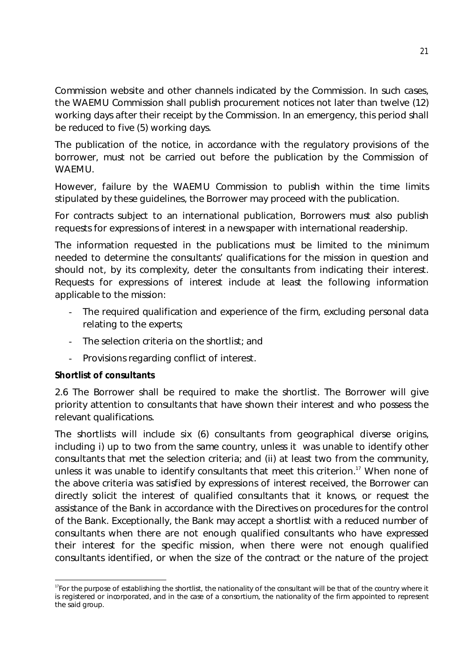Commission website and other channels indicated by the Commission. In such cases, the WAEMU Commission shall publish procurement notices not later than twelve (12) working days after their receipt by the Commission. In an emergency, this period shall be reduced to five (5) working days.

The publication of the notice, in accordance with the regulatory provisions of the borrower, must not be carried out before the publication by the Commission of WAEMU.

However, failure by the WAEMU Commission to publish within the time limits stipulated by these guidelines, the Borrower may proceed with the publication.

For contracts subject to an international publication, Borrowers must also publish requests for expressions of interest in a newspaper with international readership.

The information requested in the publications must be limited to the minimum needed to determine the consultants' qualifications for the mission in question and should not, by its complexity, deter the consultants from indicating their interest. Requests for expressions of interest include at least the following information applicable to the mission:

- The required qualification and experience of the firm, excluding personal data relating to the experts;
- The selection criteria on the shortlist; and
- Provisions regarding conflict of interest.

# **Shortlist of consultants**

2.6 The Borrower shall be required to make the shortlist. The Borrower will give priority attention to consultants that have shown their interest and who possess the relevant qualifications.

The shortlists will include six (6) consultants from geographical diverse origins, including i) up to two from the same country, unless it was unable to identify other consultants that met the selection criteria; and (ii) at least two from the community, unless it was unable to identify consultants that meet this criterion.<sup>17</sup> When none of the above criteria was satisfied by expressions of interest received, the Borrower can directly solicit the interest of qualified consultants that it knows, or request the assistance of the Bank in accordance with the Directives on procedures for the control of the Bank. Exceptionally, the Bank may accept a shortlist with a reduced number of consultants when there are not enough qualified consultants who have expressed their interest for the specific mission, when there were not enough qualified consultants identified, or when the size of the contract or the nature of the project

<sup>-</sup><sup>17</sup>For the purpose of establishing the shortlist, the nationality of the consultant will be that of the country where it is registered or incorporated, and in the case of a consortium, the nationality of the firm appointed to represent the said group.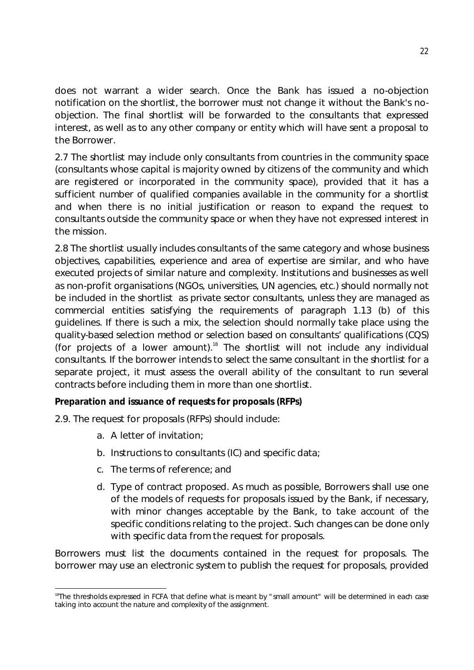does not warrant a wider search. Once the Bank has issued a no-objection notification on the shortlist, the borrower must not change it without the Bank's noobjection. The final shortlist will be forwarded to the consultants that expressed interest, as well as to any other company or entity which will have sent a proposal to the Borrower.

2.7 The shortlist may include only consultants from countries in the community space (consultants whose capital is majority owned by citizens of the community and which are registered or incorporated in the community space), provided that it has a sufficient number of qualified companies available in the community for a shortlist and when there is no initial justification or reason to expand the request to consultants outside the community space or when they have not expressed interest in the mission.

2.8 The shortlist usually includes consultants of the same category and whose business objectives, capabilities, experience and area of expertise are similar, and who have executed projects of similar nature and complexity. Institutions and businesses as well as non-profit organisations (NGOs, universities, UN agencies, etc.) should normally not be included in the shortlist as private sector consultants, unless they are managed as commercial entities satisfying the requirements of paragraph 1.13 (b) of this guidelines. If there is such a mix, the selection should normally take place using the quality-based selection method or selection based on consultants' qualifications (CQS) (for projects of a lower amount).<sup>18</sup> The shortlist will not include any individual consultants. If the borrower intends to select the same consultant in the shortlist for a separate project, it must assess the overall ability of the consultant to run several contracts before including them in more than one shortlist.

# **Preparation and issuance of requests for proposals (RFPs)**

2.9. The request for proposals (RFPs) should include:

- a. A letter of invitation;
- b. Instructions to consultants (IC) and specific data;
- c. The terms of reference; and
- d. Type of contract proposed. As much as possible, Borrowers shall use one of the models of requests for proposals issued by the Bank, if necessary, with minor changes acceptable by the Bank, to take account of the specific conditions relating to the project. Such changes can be done only with specific data from the request for proposals.

Borrowers must list the documents contained in the request for proposals. The borrower may use an electronic system to publish the request for proposals, provided

**<sup>.</sup>** <sup>18</sup>The thresholds expressed in FCFA that define what is meant by "small amount" will be determined in each case taking into account the nature and complexity of the assignment.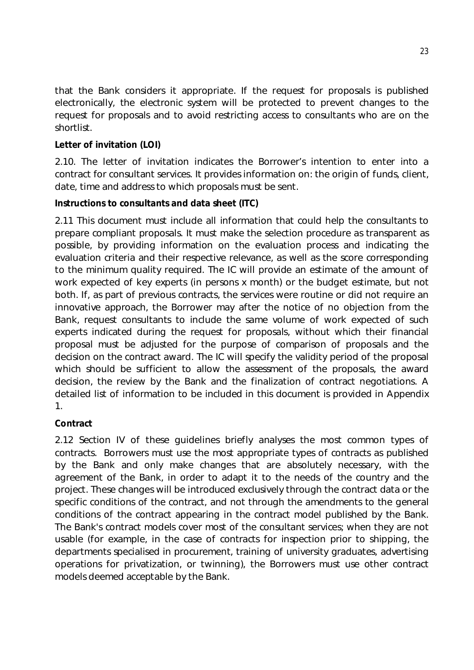that the Bank considers it appropriate. If the request for proposals is published electronically, the electronic system will be protected to prevent changes to the request for proposals and to avoid restricting access to consultants who are on the shortlist.

# **Letter of invitation (LOI)**

2.10. The letter of invitation indicates the Borrower's intention to enter into a contract for consultant services. It provides information on: the origin of funds, client, date, time and address to which proposals must be sent.

# **Instructions to consultants and data sheet (ITC)**

2.11 This document must include all information that could help the consultants to prepare compliant proposals. It must make the selection procedure as transparent as possible, by providing information on the evaluation process and indicating the evaluation criteria and their respective relevance, as well as the score corresponding to the minimum quality required. The IC will provide an estimate of the amount of work expected of key experts (in persons x month) or the budget estimate, but not both. If, as part of previous contracts, the services were routine or did not require an innovative approach, the Borrower may after the notice of no objection from the Bank, request consultants to include the same volume of work expected of such experts indicated during the request for proposals, without which their financial proposal must be adjusted for the purpose of comparison of proposals and the decision on the contract award. The IC will specify the validity period of the proposal which should be sufficient to allow the assessment of the proposals, the award decision, the review by the Bank and the finalization of contract negotiations. A detailed list of information to be included in this document is provided in Appendix 1.

# **Contract**

2.12 Section IV of these guidelines briefly analyses the most common types of contracts. Borrowers must use the most appropriate types of contracts as published by the Bank and only make changes that are absolutely necessary, with the agreement of the Bank, in order to adapt it to the needs of the country and the project. These changes will be introduced exclusively through the contract data or the specific conditions of the contract, and not through the amendments to the general conditions of the contract appearing in the contract model published by the Bank. The Bank's contract models cover most of the consultant services; when they are not usable (for example, in the case of contracts for inspection prior to shipping, the departments specialised in procurement, training of university graduates, advertising operations for privatization, or twinning), the Borrowers must use other contract models deemed acceptable by the Bank.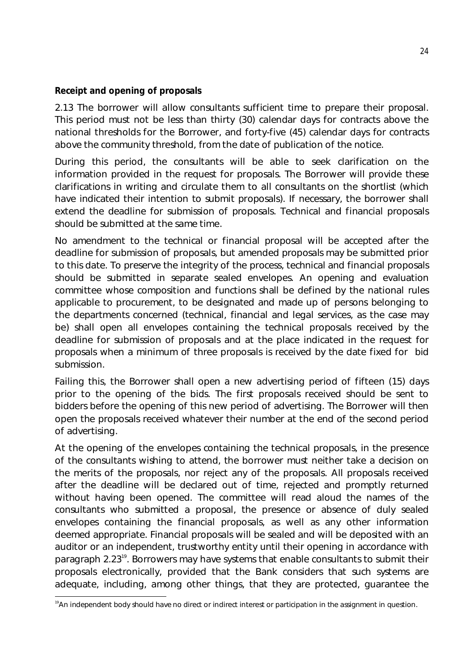### **Receipt and opening of proposals**

2.13 The borrower will allow consultants sufficient time to prepare their proposal. This period must not be less than thirty (30) calendar days for contracts above the national thresholds for the Borrower, and forty-five (45) calendar days for contracts above the community threshold, from the date of publication of the notice.

During this period, the consultants will be able to seek clarification on the information provided in the request for proposals. The Borrower will provide these clarifications in writing and circulate them to all consultants on the shortlist (which have indicated their intention to submit proposals). If necessary, the borrower shall extend the deadline for submission of proposals. Technical and financial proposals should be submitted at the same time.

No amendment to the technical or financial proposal will be accepted after the deadline for submission of proposals, but amended proposals may be submitted prior to this date. To preserve the integrity of the process, technical and financial proposals should be submitted in separate sealed envelopes. An opening and evaluation committee whose composition and functions shall be defined by the national rules applicable to procurement, to be designated and made up of persons belonging to the departments concerned (technical, financial and legal services, as the case may be) shall open all envelopes containing the technical proposals received by the deadline for submission of proposals and at the place indicated in the request for proposals when a minimum of three proposals is received by the date fixed for bid submission.

Failing this, the Borrower shall open a new advertising period of fifteen (15) days prior to the opening of the bids. The first proposals received should be sent to bidders before the opening of this new period of advertising. The Borrower will then open the proposals received whatever their number at the end of the second period of advertising.

At the opening of the envelopes containing the technical proposals, in the presence of the consultants wishing to attend, the borrower must neither take a decision on the merits of the proposals, nor reject any of the proposals. All proposals received after the deadline will be declared out of time, rejected and promptly returned without having been opened. The committee will read aloud the names of the consultants who submitted a proposal, the presence or absence of duly sealed envelopes containing the financial proposals, as well as any other information deemed appropriate. Financial proposals will be sealed and will be deposited with an auditor or an independent, trustworthy entity until their opening in accordance with paragraph 2.23<sup>19</sup>. Borrowers may have systems that enable consultants to submit their proposals electronically, provided that the Bank considers that such systems are adequate, including, among other things, that they are protected, guarantee the

**<sup>.</sup>** <sup>19</sup>An independent body should have no direct or indirect interest or participation in the assignment in question.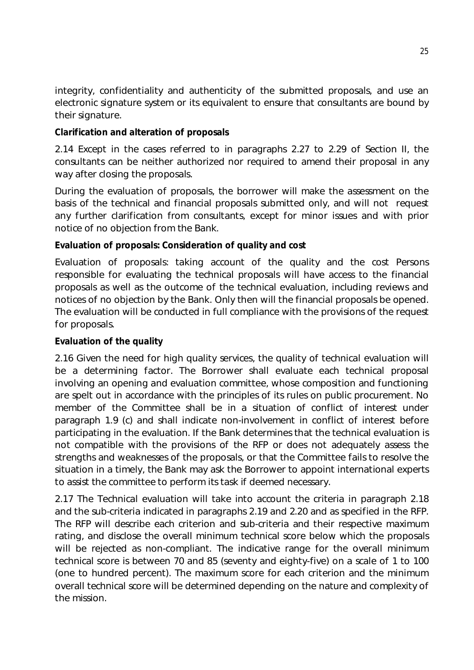integrity, confidentiality and authenticity of the submitted proposals, and use an electronic signature system or its equivalent to ensure that consultants are bound by their signature.

### **Clarification and alteration of proposals**

2.14 Except in the cases referred to in paragraphs 2.27 to 2.29 of Section II, the consultants can be neither authorized nor required to amend their proposal in any way after closing the proposals.

During the evaluation of proposals, the borrower will make the assessment on the basis of the technical and financial proposals submitted only, and will not request any further clarification from consultants, except for minor issues and with prior notice of no objection from the Bank.

# **Evaluation of proposals: Consideration of quality and cost**

Evaluation of proposals: taking account of the quality and the cost Persons responsible for evaluating the technical proposals will have access to the financial proposals as well as the outcome of the technical evaluation, including reviews and notices of no objection by the Bank. Only then will the financial proposals be opened. The evaluation will be conducted in full compliance with the provisions of the request for proposals.

# **Evaluation of the quality**

2.16 Given the need for high quality services, the quality of technical evaluation will be a determining factor. The Borrower shall evaluate each technical proposal involving an opening and evaluation committee, whose composition and functioning are spelt out in accordance with the principles of its rules on public procurement. No member of the Committee shall be in a situation of conflict of interest under paragraph 1.9 (c) and shall indicate non-involvement in conflict of interest before participating in the evaluation. If the Bank determines that the technical evaluation is not compatible with the provisions of the RFP or does not adequately assess the strengths and weaknesses of the proposals, or that the Committee fails to resolve the situation in a timely, the Bank may ask the Borrower to appoint international experts to assist the committee to perform its task if deemed necessary.

2.17 The Technical evaluation will take into account the criteria in paragraph 2.18 and the sub-criteria indicated in paragraphs 2.19 and 2.20 and as specified in the RFP. The RFP will describe each criterion and sub-criteria and their respective maximum rating, and disclose the overall minimum technical score below which the proposals will be rejected as non-compliant. The indicative range for the overall minimum technical score is between 70 and 85 (seventy and eighty-five) on a scale of 1 to 100 (one to hundred percent). The maximum score for each criterion and the minimum overall technical score will be determined depending on the nature and complexity of the mission.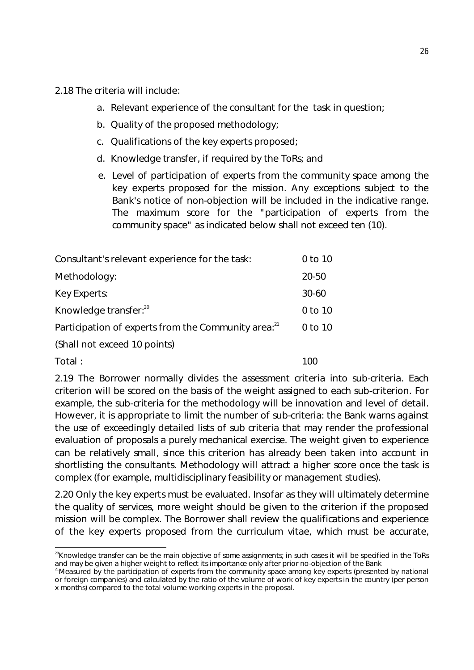2.18 The criteria will include:

- a. Relevant experience of the consultant for the task in question;
- b. Quality of the proposed methodology;
- c. Qualifications of the key experts proposed;
- d. Knowledge transfer, if required by the ToRs; and
- e. Level of participation of experts from the community space among the key experts proposed for the mission. Any exceptions subject to the Bank's notice of non-objection will be included in the indicative range. The maximum score for the "participation of experts from the community space" as indicated below shall not exceed ten (10).

| Consultant's relevant experience for the task:                  | 0 to 10   |
|-----------------------------------------------------------------|-----------|
| Methodology:                                                    | 20-50     |
| Key Experts:                                                    | $30 - 60$ |
| Knowledge transfer: <sup>20</sup>                               | 0 to 10   |
| Participation of experts from the Community area: <sup>21</sup> | 0 to 10   |
| (Shall not exceed 10 points)                                    |           |
| Total:                                                          | 100       |

2.19 The Borrower normally divides the assessment criteria into sub-criteria. Each criterion will be scored on the basis of the weight assigned to each sub-criterion. For example, the sub-criteria for the methodology will be innovation and level of detail. However, it is appropriate to limit the number of sub-criteria: the Bank warns against the use of exceedingly detailed lists of sub criteria that may render the professional evaluation of proposals a purely mechanical exercise. The weight given to experience can be relatively small, since this criterion has already been taken into account in shortlisting the consultants. Methodology will attract a higher score once the task is complex (for example, multidisciplinary feasibility or management studies).

2.20 Only the key experts must be evaluated. Insofar as they will ultimately determine the quality of services, more weight should be given to the criterion if the proposed mission will be complex. The Borrower shall review the qualifications and experience of the key experts proposed from the curriculum vitae, which must be accurate,

**<sup>.</sup>** <sup>20</sup>Knowledge transfer can be the main objective of some assignments; in such cases it will be specified in the ToRs and may be given a higher weight to reflect its importance only after prior no-objection of the Bank

<sup>&</sup>lt;sup>21</sup>Measured by the participation of experts from the community space among key experts (presented by national or foreign companies) and calculated by the ratio of the volume of work of key experts in the country (per person x months) compared to the total volume working experts in the proposal.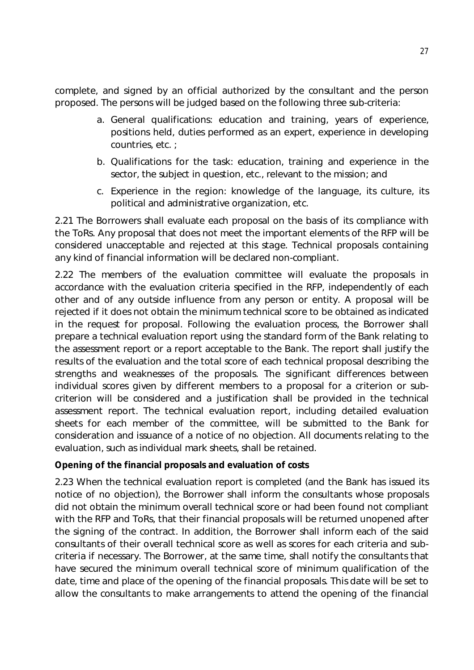complete, and signed by an official authorized by the consultant and the person proposed. The persons will be judged based on the following three sub-criteria:

- a. General qualifications: education and training, years of experience, positions held, duties performed as an expert, experience in developing countries, etc. ;
- b. Qualifications for the task: education, training and experience in the sector, the subject in question, etc., relevant to the mission; and
- c. Experience in the region: knowledge of the language, its culture, its political and administrative organization, etc.

2.21 The Borrowers shall evaluate each proposal on the basis of its compliance with the ToRs. Any proposal that does not meet the important elements of the RFP will be considered unacceptable and rejected at this stage. Technical proposals containing any kind of financial information will be declared non-compliant.

2.22 The members of the evaluation committee will evaluate the proposals in accordance with the evaluation criteria specified in the RFP, independently of each other and of any outside influence from any person or entity. A proposal will be rejected if it does not obtain the minimum technical score to be obtained as indicated in the request for proposal. Following the evaluation process, the Borrower shall prepare a technical evaluation report using the standard form of the Bank relating to the assessment report or a report acceptable to the Bank. The report shall justify the results of the evaluation and the total score of each technical proposal describing the strengths and weaknesses of the proposals. The significant differences between individual scores given by different members to a proposal for a criterion or subcriterion will be considered and a justification shall be provided in the technical assessment report. The technical evaluation report, including detailed evaluation sheets for each member of the committee, will be submitted to the Bank for consideration and issuance of a notice of no objection. All documents relating to the evaluation, such as individual mark sheets, shall be retained.

# **Opening of the financial proposals and evaluation of costs**

2.23 When the technical evaluation report is completed (and the Bank has issued its notice of no objection), the Borrower shall inform the consultants whose proposals did not obtain the minimum overall technical score or had been found not compliant with the RFP and ToRs, that their financial proposals will be returned unopened after the signing of the contract. In addition, the Borrower shall inform each of the said consultants of their overall technical score as well as scores for each criteria and subcriteria if necessary. The Borrower, at the same time, shall notify the consultants that have secured the minimum overall technical score of minimum qualification of the date, time and place of the opening of the financial proposals. This date will be set to allow the consultants to make arrangements to attend the opening of the financial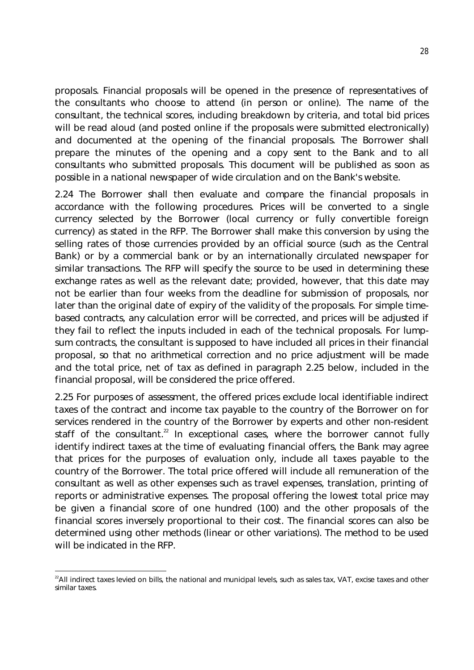proposals. Financial proposals will be opened in the presence of representatives of the consultants who choose to attend (in person or online). The name of the consultant, the technical scores, including breakdown by criteria, and total bid prices will be read aloud (and posted online if the proposals were submitted electronically) and documented at the opening of the financial proposals. The Borrower shall prepare the minutes of the opening and a copy sent to the Bank and to all consultants who submitted proposals. This document will be published as soon as possible in a national newspaper of wide circulation and on the Bank's website.

2.24 The Borrower shall then evaluate and compare the financial proposals in accordance with the following procedures. Prices will be converted to a single currency selected by the Borrower (local currency or fully convertible foreign currency) as stated in the RFP. The Borrower shall make this conversion by using the selling rates of those currencies provided by an official source (such as the Central Bank) or by a commercial bank or by an internationally circulated newspaper for similar transactions. The RFP will specify the source to be used in determining these exchange rates as well as the relevant date; provided, however, that this date may not be earlier than four weeks from the deadline for submission of proposals, nor later than the original date of expiry of the validity of the proposals. For simple timebased contracts, any calculation error will be corrected, and prices will be adjusted if they fail to reflect the inputs included in each of the technical proposals. For lumpsum contracts, the consultant is supposed to have included all prices in their financial proposal, so that no arithmetical correction and no price adjustment will be made and the total price, net of tax as defined in paragraph 2.25 below, included in the financial proposal, will be considered the price offered.

2.25 For purposes of assessment, the offered prices exclude local identifiable indirect taxes of the contract and income tax payable to the country of the Borrower on for services rendered in the country of the Borrower by experts and other non-resident staff of the consultant.<sup>22</sup> In exceptional cases, where the borrower cannot fully identify indirect taxes at the time of evaluating financial offers, the Bank may agree that prices for the purposes of evaluation only, include all taxes payable to the country of the Borrower. The total price offered will include all remuneration of the consultant as well as other expenses such as travel expenses, translation, printing of reports or administrative expenses. The proposal offering the lowest total price may be given a financial score of one hundred (100) and the other proposals of the financial scores inversely proportional to their cost. The financial scores can also be determined using other methods (linear or other variations). The method to be used will be indicated in the RFP.

**<sup>.</sup>** <sup>22</sup>All indirect taxes levied on bills, the national and municipal levels, such as sales tax, VAT, excise taxes and other similar taxes.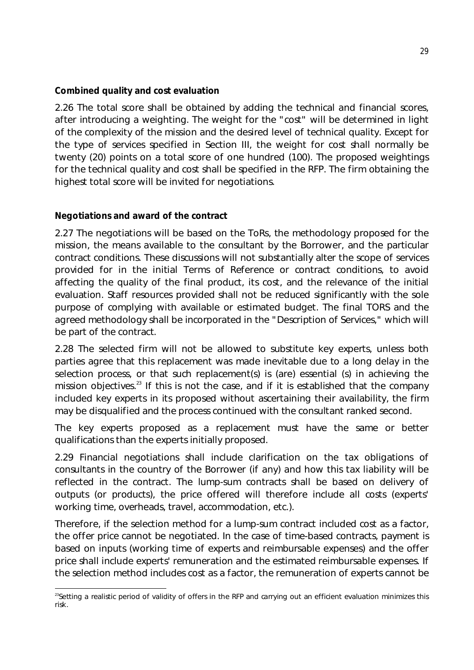### **Combined quality and cost evaluation**

2.26 The total score shall be obtained by adding the technical and financial scores, after introducing a weighting. The weight for the "cost" will be determined in light of the complexity of the mission and the desired level of technical quality. Except for the type of services specified in Section III, the weight for cost shall normally be twenty (20) points on a total score of one hundred (100). The proposed weightings for the technical quality and cost shall be specified in the RFP. The firm obtaining the highest total score will be invited for negotiations.

# **Negotiations and award of the contract**

2.27 The negotiations will be based on the ToRs, the methodology proposed for the mission, the means available to the consultant by the Borrower, and the particular contract conditions. These discussions will not substantially alter the scope of services provided for in the initial Terms of Reference or contract conditions, to avoid affecting the quality of the final product, its cost, and the relevance of the initial evaluation. Staff resources provided shall not be reduced significantly with the sole purpose of complying with available or estimated budget. The final TORS and the agreed methodology shall be incorporated in the "Description of Services," which will be part of the contract.

2.28 The selected firm will not be allowed to substitute key experts, unless both parties agree that this replacement was made inevitable due to a long delay in the selection process, or that such replacement(s) is (are) essential (s) in achieving the mission objectives.<sup>23</sup> If this is not the case, and if it is established that the company included key experts in its proposed without ascertaining their availability, the firm may be disqualified and the process continued with the consultant ranked second.

The key experts proposed as a replacement must have the same or better qualifications than the experts initially proposed.

2.29 Financial negotiations shall include clarification on the tax obligations of consultants in the country of the Borrower (if any) and how this tax liability will be reflected in the contract. The lump-sum contracts shall be based on delivery of outputs (or products), the price offered will therefore include all costs (experts' working time, overheads, travel, accommodation, etc.).

Therefore, if the selection method for a lump-sum contract included cost as a factor, the offer price cannot be negotiated. In the case of time-based contracts, payment is based on inputs (working time of experts and reimbursable expenses) and the offer price shall include experts' remuneration and the estimated reimbursable expenses. If the selection method includes cost as a factor, the remuneration of experts cannot be

**<sup>.</sup>** <sup>23</sup>Setting a realistic period of validity of offers in the RFP and carrying out an efficient evaluation minimizes this risk.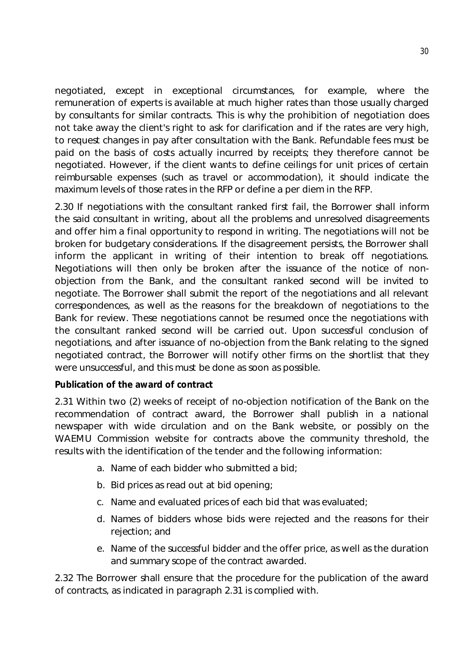negotiated, except in exceptional circumstances, for example, where the remuneration of experts is available at much higher rates than those usually charged by consultants for similar contracts. This is why the prohibition of negotiation does not take away the client's right to ask for clarification and if the rates are very high, to request changes in pay after consultation with the Bank. Refundable fees must be paid on the basis of costs actually incurred by receipts; they therefore cannot be negotiated. However, if the client wants to define ceilings for unit prices of certain reimbursable expenses (such as travel or accommodation), it should indicate the maximum levels of those rates in the RFP or define a per diem in the RFP.

2.30 If negotiations with the consultant ranked first fail, the Borrower shall inform the said consultant in writing, about all the problems and unresolved disagreements and offer him a final opportunity to respond in writing. The negotiations will not be broken for budgetary considerations. If the disagreement persists, the Borrower shall inform the applicant in writing of their intention to break off negotiations. Negotiations will then only be broken after the issuance of the notice of nonobjection from the Bank, and the consultant ranked second will be invited to negotiate. The Borrower shall submit the report of the negotiations and all relevant correspondences, as well as the reasons for the breakdown of negotiations to the Bank for review. These negotiations cannot be resumed once the negotiations with the consultant ranked second will be carried out. Upon successful conclusion of negotiations, and after issuance of no-objection from the Bank relating to the signed negotiated contract, the Borrower will notify other firms on the shortlist that they were unsuccessful, and this must be done as soon as possible.

#### **Publication of the award of contract**

2.31 Within two (2) weeks of receipt of no-objection notification of the Bank on the recommendation of contract award, the Borrower shall publish in a national newspaper with wide circulation and on the Bank website, or possibly on the WAEMU Commission website for contracts above the community threshold, the results with the identification of the tender and the following information:

- a. Name of each bidder who submitted a bid;
- b. Bid prices as read out at bid opening;
- c. Name and evaluated prices of each bid that was evaluated;
- d. Names of bidders whose bids were rejected and the reasons for their rejection; and
- e. Name of the successful bidder and the offer price, as well as the duration and summary scope of the contract awarded.

2.32 The Borrower shall ensure that the procedure for the publication of the award of contracts, as indicated in paragraph 2.31 is complied with.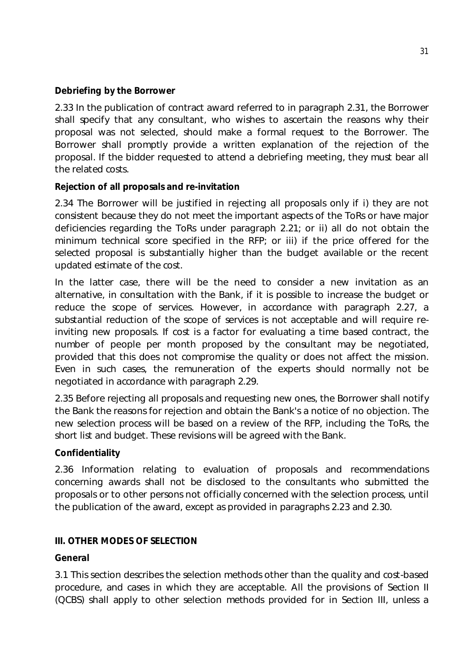### **Debriefing by the Borrower**

2.33 In the publication of contract award referred to in paragraph 2.31, the Borrower shall specify that any consultant, who wishes to ascertain the reasons why their proposal was not selected, should make a formal request to the Borrower. The Borrower shall promptly provide a written explanation of the rejection of the proposal. If the bidder requested to attend a debriefing meeting, they must bear all the related costs.

### **Rejection of all proposals and re-invitation**

2.34 The Borrower will be justified in rejecting all proposals only if i) they are not consistent because they do not meet the important aspects of the ToRs or have major deficiencies regarding the ToRs under paragraph 2.21; or ii) all do not obtain the minimum technical score specified in the RFP; or iii) if the price offered for the selected proposal is substantially higher than the budget available or the recent updated estimate of the cost.

In the latter case, there will be the need to consider a new invitation as an alternative, in consultation with the Bank, if it is possible to increase the budget or reduce the scope of services. However, in accordance with paragraph 2.27, a substantial reduction of the scope of services is not acceptable and will require reinviting new proposals. If cost is a factor for evaluating a time based contract, the number of people per month proposed by the consultant may be negotiated, provided that this does not compromise the quality or does not affect the mission. Even in such cases, the remuneration of the experts should normally not be negotiated in accordance with paragraph 2.29.

2.35 Before rejecting all proposals and requesting new ones, the Borrower shall notify the Bank the reasons for rejection and obtain the Bank's a notice of no objection. The new selection process will be based on a review of the RFP, including the ToRs, the short list and budget. These revisions will be agreed with the Bank.

#### **Confidentiality**

2.36 Information relating to evaluation of proposals and recommendations concerning awards shall not be disclosed to the consultants who submitted the proposals or to other persons not officially concerned with the selection process, until the publication of the award, except as provided in paragraphs 2.23 and 2.30.

#### **III. OTHER MODES OF SELECTION**

#### **General**

3.1 This section describes the selection methods other than the quality and cost-based procedure, and cases in which they are acceptable. All the provisions of Section II (QCBS) shall apply to other selection methods provided for in Section III, unless a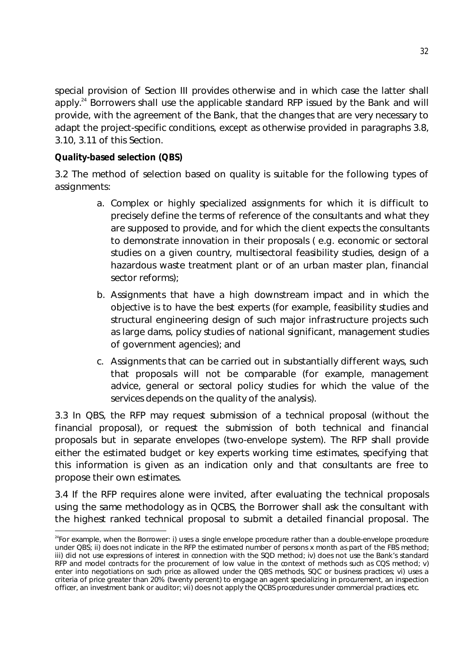special provision of Section III provides otherwise and in which case the latter shall apply.<sup>24</sup> Borrowers shall use the applicable standard RFP issued by the Bank and will provide, with the agreement of the Bank, that the changes that are very necessary to adapt the project-specific conditions, except as otherwise provided in paragraphs 3.8, 3.10, 3.11 of this Section.

# **Quality-based selection (QBS)**

**.** 

3.2 The method of selection based on quality is suitable for the following types of assignments:

- a. Complex or highly specialized assignments for which it is difficult to precisely define the terms of reference of the consultants and what they are supposed to provide, and for which the client expects the consultants to demonstrate innovation in their proposals ( e.g. economic or sectoral studies on a given country, multisectoral feasibility studies, design of a hazardous waste treatment plant or of an urban master plan, financial sector reforms);
- b. Assignments that have a high downstream impact and in which the objective is to have the best experts (for example, feasibility studies and structural engineering design of such major infrastructure projects such as large dams, policy studies of national significant, management studies of government agencies); and
- c. Assignments that can be carried out in substantially different ways, such that proposals will not be comparable (for example, management advice, general or sectoral policy studies for which the value of the services depends on the quality of the analysis).

3.3 In QBS, the RFP may request submission of a technical proposal (without the financial proposal), or request the submission of both technical and financial proposals but in separate envelopes (two-envelope system). The RFP shall provide either the estimated budget or key experts working time estimates, specifying that this information is given as an indication only and that consultants are free to propose their own estimates.

3.4 If the RFP requires alone were invited, after evaluating the technical proposals using the same methodology as in QCBS, the Borrower shall ask the consultant with the highest ranked technical proposal to submit a detailed financial proposal. The

 $24$ For example, when the Borrower: i) uses a single envelope procedure rather than a double-envelope procedure under QBS; ii) does not indicate in the RFP the estimated number of persons x month as part of the FBS method; iii) did not use expressions of interest in connection with the SQD method; iv) does not use the Bank's standard RFP and model contracts for the procurement of low value in the context of methods such as CQS method; v) enter into negotiations on such price as allowed under the QBS methods, SQC or business practices; vi) uses a criteria of price greater than 20% (twenty percent) to engage an agent specializing in procurement, an inspection officer, an investment bank or auditor; vii) does not apply the QCBS procedures under commercial practices, etc.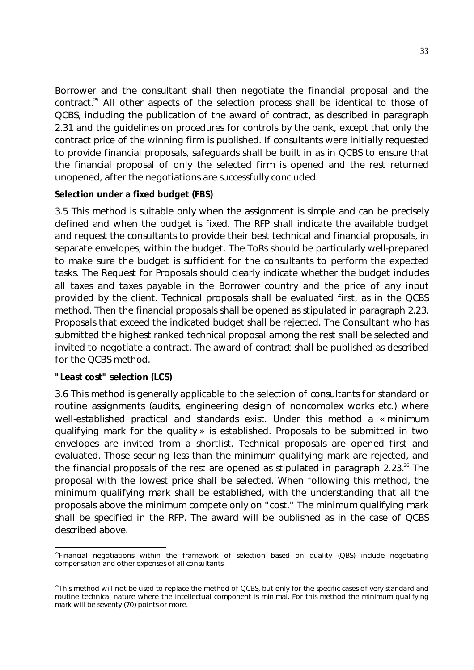Borrower and the consultant shall then negotiate the financial proposal and the contract.<sup>25</sup> All other aspects of the selection process shall be identical to those of QCBS, including the publication of the award of contract, as described in paragraph 2.31 and the guidelines on procedures for controls by the bank, except that only the contract price of the winning firm is published. If consultants were initially requested to provide financial proposals, safeguards shall be built in as in QCBS to ensure that the financial proposal of only the selected firm is opened and the rest returned unopened, after the negotiations are successfully concluded.

### **Selection under a fixed budget (FBS)**

3.5 This method is suitable only when the assignment is simple and can be precisely defined and when the budget is fixed. The RFP shall indicate the available budget and request the consultants to provide their best technical and financial proposals, in separate envelopes, within the budget. The ToRs should be particularly well-prepared to make sure the budget is sufficient for the consultants to perform the expected tasks. The Request for Proposals should clearly indicate whether the budget includes all taxes and taxes payable in the Borrower country and the price of any input provided by the client. Technical proposals shall be evaluated first, as in the QCBS method. Then the financial proposals shall be opened as stipulated in paragraph 2.23. Proposals that exceed the indicated budget shall be rejected. The Consultant who has submitted the highest ranked technical proposal among the rest shall be selected and invited to negotiate a contract. The award of contract shall be published as described for the QCBS method.

#### **"Least cost" selection (LCS)**

3.6 This method is generally applicable to the selection of consultants for standard or routine assignments (audits, engineering design of noncomplex works etc.) where well-established practical and standards exist. Under this method a « minimum qualifying mark for the quality » is established. Proposals to be submitted in two envelopes are invited from a shortlist. Technical proposals are opened first and evaluated. Those securing less than the minimum qualifying mark are rejected, and the financial proposals of the rest are opened as stipulated in paragraph  $2.23<sup>26</sup>$  The proposal with the lowest price shall be selected. When following this method, the minimum qualifying mark shall be established, with the understanding that all the proposals above the minimum compete only on "cost." The minimum qualifying mark shall be specified in the RFP. The award will be published as in the case of QCBS described above.

**<sup>.</sup>** <sup>25</sup>Financial negotiations within the framework of selection based on quality (QBS) include negotiating compensation and other expenses of all consultants.

 $^{26}$ This method will not be used to replace the method of QCBS, but only for the specific cases of very standard and routine technical nature where the intellectual component is minimal. For this method the minimum qualifying mark will be seventy (70) points or more.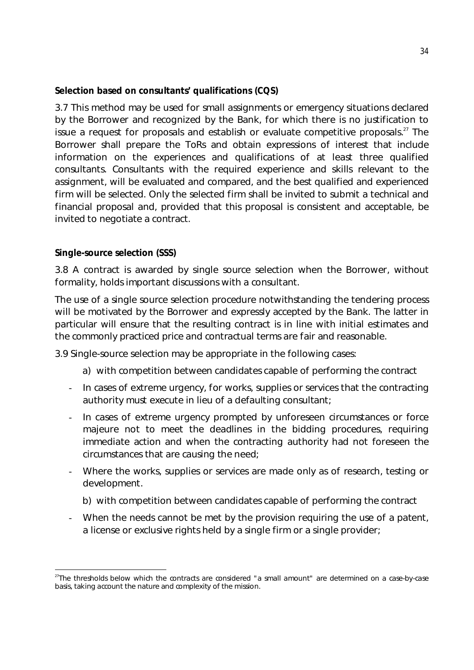### **Selection based on consultants' qualifications (CQS)**

3.7 This method may be used for small assignments or emergency situations declared by the Borrower and recognized by the Bank, for which there is no justification to issue a request for proposals and establish or evaluate competitive proposals. $27$  The Borrower shall prepare the ToRs and obtain expressions of interest that include information on the experiences and qualifications of at least three qualified consultants. Consultants with the required experience and skills relevant to the assignment, will be evaluated and compared, and the best qualified and experienced firm will be selected. Only the selected firm shall be invited to submit a technical and financial proposal and, provided that this proposal is consistent and acceptable, be invited to negotiate a contract.

### **Single-source selection (SSS)**

**.** 

3.8 A contract is awarded by single source selection when the Borrower, without formality, holds important discussions with a consultant.

The use of a single source selection procedure notwithstanding the tendering process will be motivated by the Borrower and expressly accepted by the Bank. The latter in particular will ensure that the resulting contract is in line with initial estimates and the commonly practiced price and contractual terms are fair and reasonable.

3.9 Single-source selection may be appropriate in the following cases:

- a) with competition between candidates capable of performing the contract
- In cases of extreme urgency, for works, supplies or services that the contracting authority must execute in lieu of a defaulting consultant;
- In cases of extreme urgency prompted by unforeseen circumstances or force majeure not to meet the deadlines in the bidding procedures, requiring immediate action and when the contracting authority had not foreseen the circumstances that are causing the need;
- Where the works, supplies or services are made only as of research, testing or development.
	- b) with competition between candidates capable of performing the contract
- When the needs cannot be met by the provision requiring the use of a patent, a license or exclusive rights held by a single firm or a single provider;

<sup>&</sup>lt;sup>27</sup>The thresholds below which the contracts are considered "a small amount" are determined on a case-by-case basis, taking account the nature and complexity of the mission.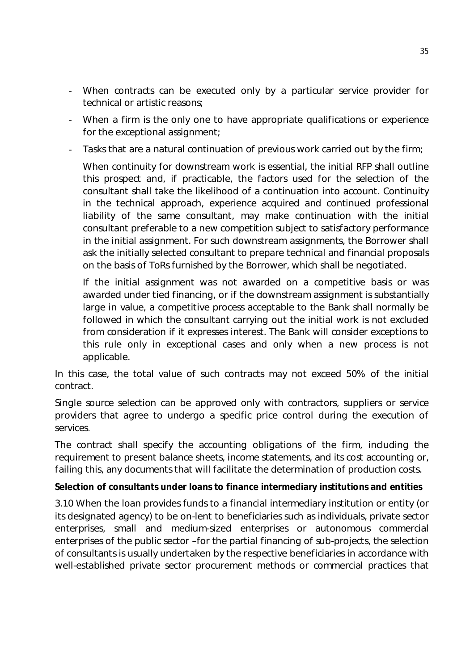- When contracts can be executed only by a particular service provider for technical or artistic reasons;
- When a firm is the only one to have appropriate qualifications or experience for the exceptional assignment;
- Tasks that are a natural continuation of previous work carried out by the firm;

When continuity for downstream work is essential, the initial RFP shall outline this prospect and, if practicable, the factors used for the selection of the consultant shall take the likelihood of a continuation into account. Continuity in the technical approach, experience acquired and continued professional liability of the same consultant, may make continuation with the initial consultant preferable to a new competition subject to satisfactory performance in the initial assignment. For such downstream assignments, the Borrower shall ask the initially selected consultant to prepare technical and financial proposals on the basis of ToRs furnished by the Borrower, which shall be negotiated.

If the initial assignment was not awarded on a competitive basis or was awarded under tied financing, or if the downstream assignment is substantially large in value, a competitive process acceptable to the Bank shall normally be followed in which the consultant carrying out the initial work is not excluded from consideration if it expresses interest. The Bank will consider exceptions to this rule only in exceptional cases and only when a new process is not applicable.

In this case, the total value of such contracts may not exceed 50% of the initial contract.

Single source selection can be approved only with contractors, suppliers or service providers that agree to undergo a specific price control during the execution of services.

The contract shall specify the accounting obligations of the firm, including the requirement to present balance sheets, income statements, and its cost accounting or, failing this, any documents that will facilitate the determination of production costs.

# **Selection of consultants under loans to finance intermediary institutions and entities**

3.10 When the loan provides funds to a financial intermediary institution or entity (or its designated agency) to be on-lent to beneficiaries such as individuals, private sector enterprises, small and medium-sized enterprises or autonomous commercial enterprises of the public sector –for the partial financing of sub-projects, the selection of consultants is usually undertaken by the respective beneficiaries in accordance with well-established private sector procurement methods or commercial practices that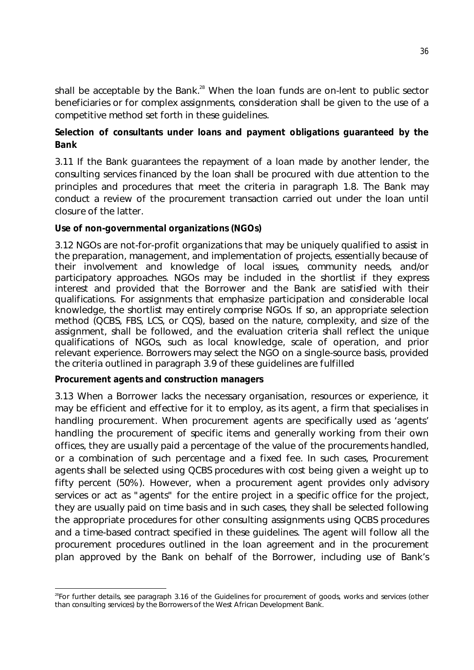shall be acceptable by the Bank.<sup>28</sup> When the loan funds are on-lent to public sector beneficiaries or for complex assignments, consideration shall be given to the use of a competitive method set forth in these guidelines.

# **Selection of consultants under loans and payment obligations guaranteed by the Bank**

3.11 If the Bank guarantees the repayment of a loan made by another lender, the consulting services financed by the loan shall be procured with due attention to the principles and procedures that meet the criteria in paragraph 1.8. The Bank may conduct a review of the procurement transaction carried out under the loan until closure of the latter.

### **Use of non-governmental organizations (NGOs)**

3.12 NGOs are not-for-profit organizations that may be uniquely qualified to assist in the preparation, management, and implementation of projects, essentially because of their involvement and knowledge of local issues, community needs, and/or participatory approaches. NGOs may be included in the shortlist if they express interest and provided that the Borrower and the Bank are satisfied with their qualifications. For assignments that emphasize participation and considerable local knowledge, the shortlist may entirely comprise NGOs. If so, an appropriate selection method (QCBS, FBS, LCS, or CQS), based on the nature, complexity, and size of the assignment, shall be followed, and the evaluation criteria shall reflect the unique qualifications of NGOs, such as local knowledge, scale of operation, and prior relevant experience. Borrowers may select the NGO on a single-source basis, provided the criteria outlined in paragraph 3.9 of these guidelines are fulfilled

#### **Procurement agents and construction managers**

3.13 When a Borrower lacks the necessary organisation, resources or experience, it may be efficient and effective for it to employ, as its agent, a firm that specialises in handling procurement. When procurement agents are specifically used as 'agents' handling the procurement of specific items and generally working from their own offices, they are usually paid a percentage of the value of the procurements handled, or a combination of such percentage and a fixed fee. In such cases, Procurement agents shall be selected using QCBS procedures with cost being given a weight up to fifty percent (50%). However, when a procurement agent provides only advisory services or act as "agents" for the entire project in a specific office for the project, they are usually paid on time basis and in such cases, they shall be selected following the appropriate procedures for other consulting assignments using QCBS procedures and a time-based contract specified in these guidelines. The agent will follow all the procurement procedures outlined in the loan agreement and in the procurement plan approved by the Bank on behalf of the Borrower, including use of Bank's

**<sup>.</sup>** <sup>28</sup>For further details, see paragraph 3.16 of the Guidelines for procurement of goods, works and services (other than consulting services) by the Borrowers of the West African Development Bank.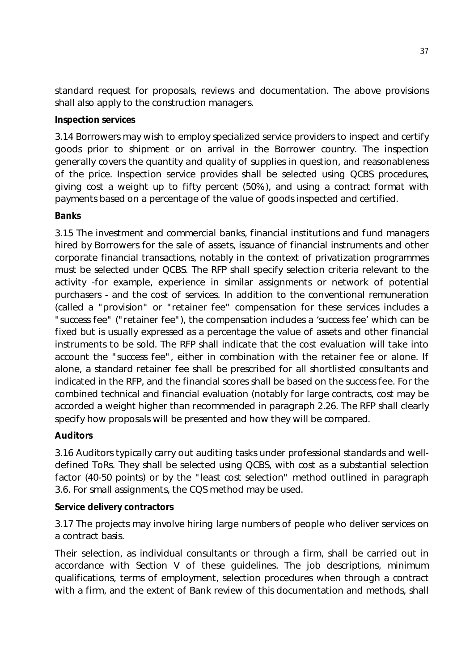standard request for proposals, reviews and documentation. The above provisions shall also apply to the construction managers.

### **Inspection services**

3.14 Borrowers may wish to employ specialized service providers to inspect and certify goods prior to shipment or on arrival in the Borrower country. The inspection generally covers the quantity and quality of supplies in question, and reasonableness of the price. Inspection service provides shall be selected using QCBS procedures, giving cost a weight up to fifty percent (50%), and using a contract format with payments based on a percentage of the value of goods inspected and certified.

# **Banks**

3.15 The investment and commercial banks, financial institutions and fund managers hired by Borrowers for the sale of assets, issuance of financial instruments and other corporate financial transactions, notably in the context of privatization programmes must be selected under QCBS. The RFP shall specify selection criteria relevant to the activity -for example, experience in similar assignments or network of potential purchasers - and the cost of services. In addition to the conventional remuneration (called a "provision" or "retainer fee" compensation for these services includes a "success fee" ("retainer fee"), the compensation includes a 'success fee' which can be fixed but is usually expressed as a percentage the value of assets and other financial instruments to be sold. The RFP shall indicate that the cost evaluation will take into account the "success fee", either in combination with the retainer fee or alone. If alone, a standard retainer fee shall be prescribed for all shortlisted consultants and indicated in the RFP, and the financial scores shall be based on the success fee. For the combined technical and financial evaluation (notably for large contracts, cost may be accorded a weight higher than recommended in paragraph 2.26. The RFP shall clearly specify how proposals will be presented and how they will be compared.

# **Auditors**

3.16 Auditors typically carry out auditing tasks under professional standards and welldefined ToRs. They shall be selected using QCBS, with cost as a substantial selection factor (40-50 points) or by the "least cost selection" method outlined in paragraph 3.6. For small assignments, the CQS method may be used.

#### **Service delivery contractors**

3.17 The projects may involve hiring large numbers of people who deliver services on a contract basis.

Their selection, as individual consultants or through a firm, shall be carried out in accordance with Section V of these guidelines. The job descriptions, minimum qualifications, terms of employment, selection procedures when through a contract with a firm, and the extent of Bank review of this documentation and methods, shall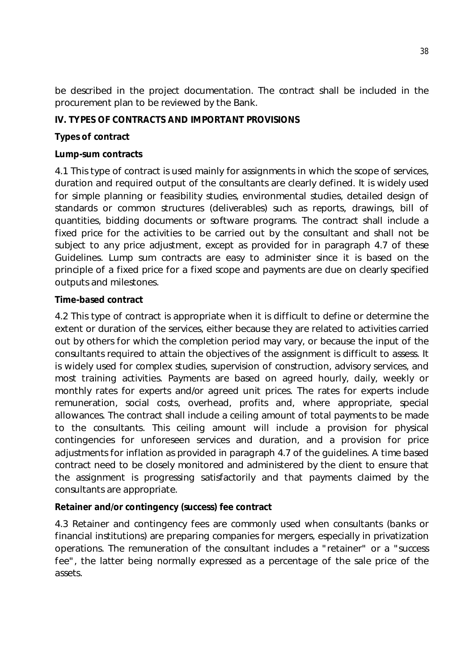be described in the project documentation. The contract shall be included in the procurement plan to be reviewed by the Bank.

# **IV. TYPES OF CONTRACTS AND IMPORTANT PROVISIONS**

# **Types of contract**

# **Lump-sum contracts**

4.1 This type of contract is used mainly for assignments in which the scope of services, duration and required output of the consultants are clearly defined. It is widely used for simple planning or feasibility studies, environmental studies, detailed design of standards or common structures (deliverables) such as reports, drawings, bill of quantities, bidding documents or software programs. The contract shall include a fixed price for the activities to be carried out by the consultant and shall not be subject to any price adjustment, except as provided for in paragraph 4.7 of these Guidelines. Lump sum contracts are easy to administer since it is based on the principle of a fixed price for a fixed scope and payments are due on clearly specified outputs and milestones.

# **Time-based contract**

4.2 This type of contract is appropriate when it is difficult to define or determine the extent or duration of the services, either because they are related to activities carried out by others for which the completion period may vary, or because the input of the consultants required to attain the objectives of the assignment is difficult to assess. It is widely used for complex studies, supervision of construction, advisory services, and most training activities. Payments are based on agreed hourly, daily, weekly or monthly rates for experts and/or agreed unit prices. The rates for experts include remuneration, social costs, overhead, profits and, where appropriate, special allowances. The contract shall include a ceiling amount of total payments to be made to the consultants. This ceiling amount will include a provision for physical contingencies for unforeseen services and duration, and a provision for price adjustments for inflation as provided in paragraph 4.7 of the guidelines. A time based contract need to be closely monitored and administered by the client to ensure that the assignment is progressing satisfactorily and that payments claimed by the consultants are appropriate.

# **Retainer and/or contingency (success) fee contract**

4.3 Retainer and contingency fees are commonly used when consultants (banks or financial institutions) are preparing companies for mergers, especially in privatization operations. The remuneration of the consultant includes a "retainer" or a "success fee", the latter being normally expressed as a percentage of the sale price of the assets.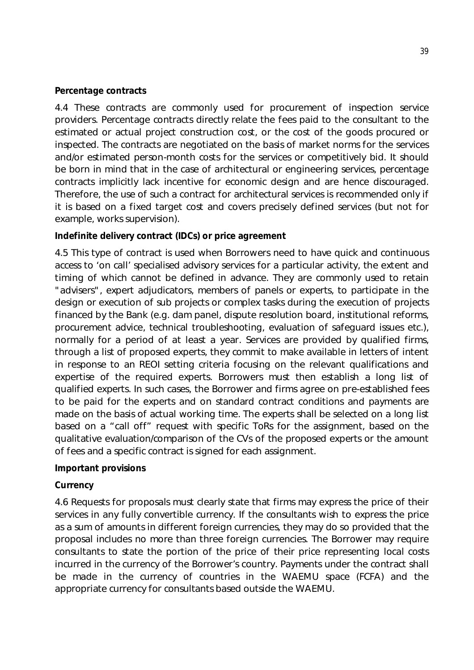#### **Percentage contracts**

4.4 These contracts are commonly used for procurement of inspection service providers. Percentage contracts directly relate the fees paid to the consultant to the estimated or actual project construction cost, or the cost of the goods procured or inspected. The contracts are negotiated on the basis of market norms for the services and/or estimated person-month costs for the services or competitively bid. It should be born in mind that in the case of architectural or engineering services, percentage contracts implicitly lack incentive for economic design and are hence discouraged. Therefore, the use of such a contract for architectural services is recommended only if it is based on a fixed target cost and covers precisely defined services (but not for example, works supervision).

#### **Indefinite delivery contract (IDCs) or price agreement**

4.5 This type of contract is used when Borrowers need to have quick and continuous access to 'on call' specialised advisory services for a particular activity, the extent and timing of which cannot be defined in advance. They are commonly used to retain "advisers", expert adjudicators, members of panels or experts, to participate in the design or execution of sub projects or complex tasks during the execution of projects financed by the Bank (e.g. dam panel, dispute resolution board, institutional reforms, procurement advice, technical troubleshooting, evaluation of safeguard issues etc.), normally for a period of at least a year. Services are provided by qualified firms, through a list of proposed experts, they commit to make available in letters of intent in response to an REOI setting criteria focusing on the relevant qualifications and expertise of the required experts. Borrowers must then establish a long list of qualified experts. In such cases, the Borrower and firms agree on pre-established fees to be paid for the experts and on standard contract conditions and payments are made on the basis of actual working time. The experts shall be selected on a long list based on a "call off" request with specific ToRs for the assignment, based on the qualitative evaluation/comparison of the CVs of the proposed experts or the amount of fees and a specific contract is signed for each assignment.

#### **Important provisions**

#### **Currency**

4.6 Requests for proposals must clearly state that firms may express the price of their services in any fully convertible currency. If the consultants wish to express the price as a sum of amounts in different foreign currencies, they may do so provided that the proposal includes no more than three foreign currencies. The Borrower may require consultants to state the portion of the price of their price representing local costs incurred in the currency of the Borrower's country. Payments under the contract shall be made in the currency of countries in the WAEMU space (FCFA) and the appropriate currency for consultants based outside the WAEMU.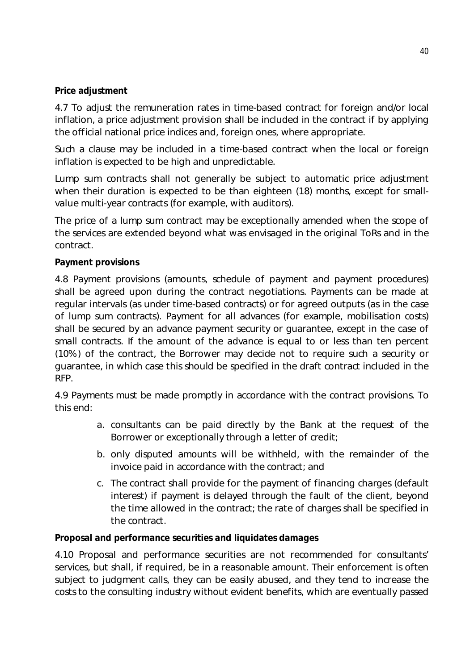### **Price adjustment**

4.7 To adjust the remuneration rates in time-based contract for foreign and/or local inflation, a price adjustment provision shall be included in the contract if by applying the official national price indices and, foreign ones, where appropriate.

Such a clause may be included in a time-based contract when the local or foreign inflation is expected to be high and unpredictable.

Lump sum contracts shall not generally be subject to automatic price adjustment when their duration is expected to be than eighteen (18) months, except for smallvalue multi-year contracts (for example, with auditors).

The price of a lump sum contract may be exceptionally amended when the scope of the services are extended beyond what was envisaged in the original ToRs and in the contract.

### **Payment provisions**

4.8 Payment provisions (amounts, schedule of payment and payment procedures) shall be agreed upon during the contract negotiations. Payments can be made at regular intervals (as under time-based contracts) or for agreed outputs (as in the case of lump sum contracts). Payment for all advances (for example, mobilisation costs) shall be secured by an advance payment security or guarantee, except in the case of small contracts. If the amount of the advance is equal to or less than ten percent (10%) of the contract, the Borrower may decide not to require such a security or guarantee, in which case this should be specified in the draft contract included in the RFP.

4.9 Payments must be made promptly in accordance with the contract provisions. To this end:

- a. consultants can be paid directly by the Bank at the request of the Borrower or exceptionally through a letter of credit;
- b. only disputed amounts will be withheld, with the remainder of the invoice paid in accordance with the contract; and
- c. The contract shall provide for the payment of financing charges (default interest) if payment is delayed through the fault of the client, beyond the time allowed in the contract; the rate of charges shall be specified in the contract.

#### **Proposal and performance securities and liquidates damages**

4.10 Proposal and performance securities are not recommended for consultants' services, but shall, if required, be in a reasonable amount. Their enforcement is often subject to judgment calls, they can be easily abused, and they tend to increase the costs to the consulting industry without evident benefits, which are eventually passed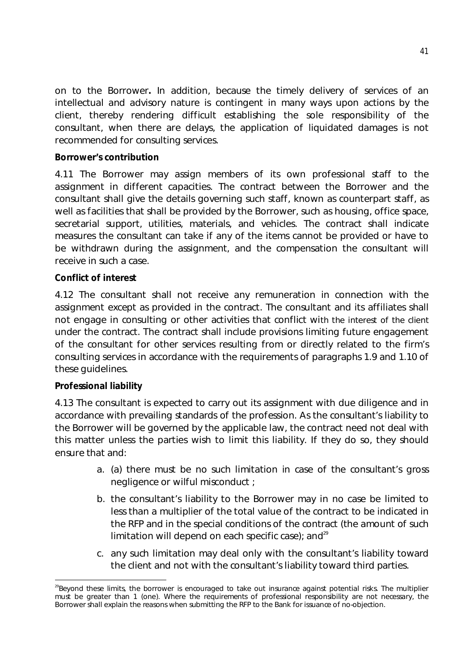on to the Borrower**.** In addition, because the timely delivery of services of an intellectual and advisory nature is contingent in many ways upon actions by the client, thereby rendering difficult establishing the sole responsibility of the consultant, when there are delays, the application of liquidated damages is not recommended for consulting services.

### **Borrower's contribution**

4.11 The Borrower may assign members of its own professional staff to the assignment in different capacities. The contract between the Borrower and the consultant shall give the details governing such staff, known as counterpart staff, as well as facilities that shall be provided by the Borrower, such as housing, office space, secretarial support, utilities, materials, and vehicles. The contract shall indicate measures the consultant can take if any of the items cannot be provided or have to be withdrawn during the assignment, and the compensation the consultant will receive in such a case.

### **Conflict of interest**

4.12 The consultant shall not receive any remuneration in connection with the assignment except as provided in the contract. The consultant and its affiliates shall not engage in consulting or other activities that conflict with the interest of the client under the contract. The contract shall include provisions limiting future engagement of the consultant for other services resulting from or directly related to the firm's consulting services in accordance with the requirements of paragraphs 1.9 and 1.10 of these guidelines.

#### **Professional liability**

4.13 The consultant is expected to carry out its assignment with due diligence and in accordance with prevailing standards of the profession. As the consultant's liability to the Borrower will be governed by the applicable law, the contract need not deal with this matter unless the parties wish to limit this liability. If they do so, they should ensure that and:

- a. (a) there must be no such limitation in case of the consultant's gross negligence or wilful misconduct ;
- b. the consultant's liability to the Borrower may in no case be limited to less than a multiplier of the total value of the contract to be indicated in the RFP and in the special conditions of the contract (the amount of such limitation will depend on each specific case); and<sup>29</sup>
- c. any such limitation may deal only with the consultant's liability toward the client and not with the consultant's liability toward third parties.

<sup>-</sup><sup>29</sup>Beyond these limits, the borrower is encouraged to take out insurance against potential risks. The multiplier must be greater than 1 (one). Where the requirements of professional responsibility are not necessary, the Borrower shall explain the reasons when submitting the RFP to the Bank for issuance of no-objection.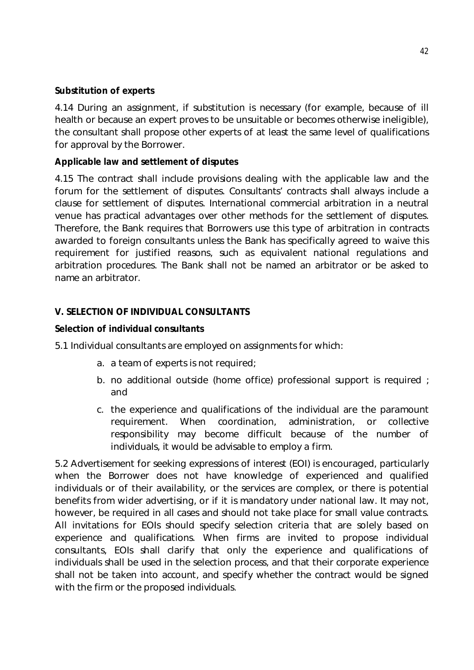### **Substitution of experts**

4.14 During an assignment, if substitution is necessary (for example, because of ill health or because an expert proves to be unsuitable or becomes otherwise ineligible), the consultant shall propose other experts of at least the same level of qualifications for approval by the Borrower.

### **Applicable law and settlement of disputes**

4.15 The contract shall include provisions dealing with the applicable law and the forum for the settlement of disputes. Consultants' contracts shall always include a clause for settlement of disputes. International commercial arbitration in a neutral venue has practical advantages over other methods for the settlement of disputes. Therefore, the Bank requires that Borrowers use this type of arbitration in contracts awarded to foreign consultants unless the Bank has specifically agreed to waive this requirement for justified reasons, such as equivalent national regulations and arbitration procedures. The Bank shall not be named an arbitrator or be asked to name an arbitrator.

# **V. SELECTION OF INDIVIDUAL CONSULTANTS**

### **Selection of individual consultants**

5.1 Individual consultants are employed on assignments for which:

- a. a team of experts is not required;
- b. no additional outside (home office) professional support is required ; and
- c. the experience and qualifications of the individual are the paramount requirement. When coordination, administration, or collective responsibility may become difficult because of the number of individuals, it would be advisable to employ a firm.

5.2 Advertisement for seeking expressions of interest (EOI) is encouraged, particularly when the Borrower does not have knowledge of experienced and qualified individuals or of their availability, or the services are complex, or there is potential benefits from wider advertising, or if it is mandatory under national law. It may not, however, be required in all cases and should not take place for small value contracts. All invitations for EOIs should specify selection criteria that are solely based on experience and qualifications. When firms are invited to propose individual consultants, EOIs shall clarify that only the experience and qualifications of individuals shall be used in the selection process, and that their corporate experience shall not be taken into account, and specify whether the contract would be signed with the firm or the proposed individuals.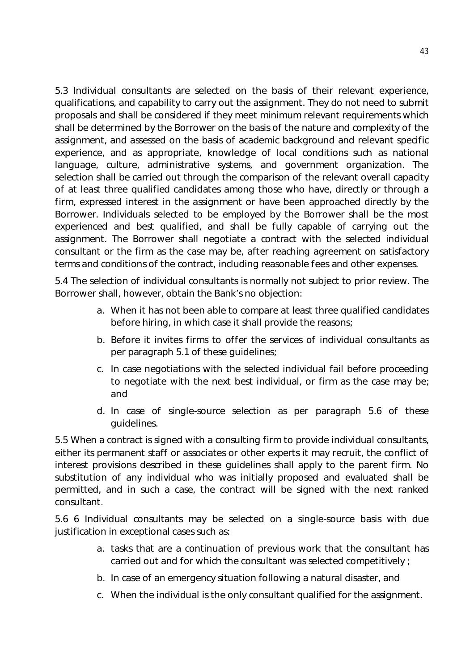5.3 Individual consultants are selected on the basis of their relevant experience, qualifications, and capability to carry out the assignment. They do not need to submit proposals and shall be considered if they meet minimum relevant requirements which shall be determined by the Borrower on the basis of the nature and complexity of the assignment, and assessed on the basis of academic background and relevant specific experience, and as appropriate, knowledge of local conditions such as national language, culture, administrative systems, and government organization. The selection shall be carried out through the comparison of the relevant overall capacity of at least three qualified candidates among those who have, directly or through a firm, expressed interest in the assignment or have been approached directly by the Borrower. Individuals selected to be employed by the Borrower shall be the most experienced and best qualified, and shall be fully capable of carrying out the assignment. The Borrower shall negotiate a contract with the selected individual consultant or the firm as the case may be, after reaching agreement on satisfactory terms and conditions of the contract, including reasonable fees and other expenses.

5.4 The selection of individual consultants is normally not subject to prior review. The Borrower shall, however, obtain the Bank's no objection:

- a. When it has not been able to compare at least three qualified candidates before hiring, in which case it shall provide the reasons;
- b. Before it invites firms to offer the services of individual consultants as per paragraph 5.1 of these guidelines;
- c. In case negotiations with the selected individual fail before proceeding to negotiate with the next best individual, or firm as the case may be; and
- d. In case of single-source selection as per paragraph 5.6 of these guidelines.

5.5 When a contract is signed with a consulting firm to provide individual consultants, either its permanent staff or associates or other experts it may recruit, the conflict of interest provisions described in these guidelines shall apply to the parent firm. No substitution of any individual who was initially proposed and evaluated shall be permitted, and in such a case, the contract will be signed with the next ranked consultant.

5.6 6 Individual consultants may be selected on a single-source basis with due justification in exceptional cases such as:

- a. tasks that are a continuation of previous work that the consultant has carried out and for which the consultant was selected competitively ;
- b. In case of an emergency situation following a natural disaster, and
- c. When the individual is the only consultant qualified for the assignment.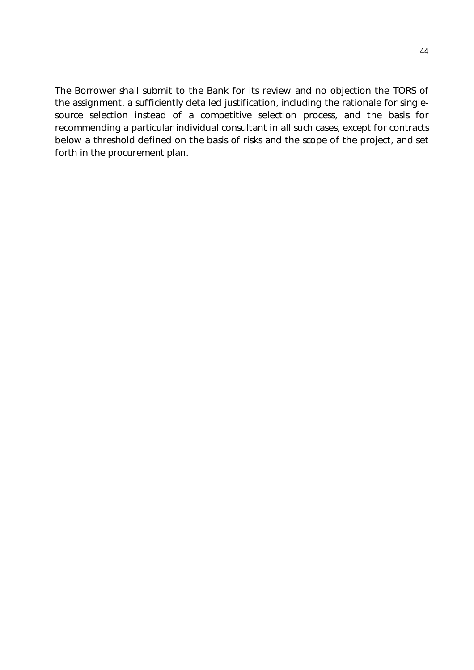The Borrower shall submit to the Bank for its review and no objection the TORS of the assignment, a sufficiently detailed justification, including the rationale for singlesource selection instead of a competitive selection process, and the basis for recommending a particular individual consultant in all such cases, except for contracts below a threshold defined on the basis of risks and the scope of the project, and set forth in the procurement plan.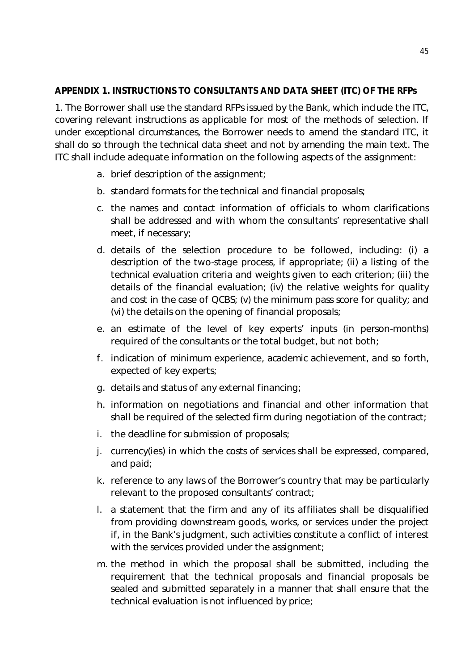### **APPENDIX 1. INSTRUCTIONS TO CONSULTANTS AND DATA SHEET (ITC) OF THE RFPs**

1. The Borrower shall use the standard RFPs issued by the Bank, which include the ITC, covering relevant instructions as applicable for most of the methods of selection. If under exceptional circumstances, the Borrower needs to amend the standard ITC, it shall do so through the technical data sheet and not by amending the main text. The ITC shall include adequate information on the following aspects of the assignment:

- a. brief description of the assignment;
- b. standard formats for the technical and financial proposals;
- c. the names and contact information of officials to whom clarifications shall be addressed and with whom the consultants' representative shall meet, if necessary;
- d. details of the selection procedure to be followed, including: (i) a description of the two-stage process, if appropriate; (ii) a listing of the technical evaluation criteria and weights given to each criterion; (iii) the details of the financial evaluation; (iv) the relative weights for quality and cost in the case of QCBS; (v) the minimum pass score for quality; and (vi) the details on the opening of financial proposals;
- e. an estimate of the level of key experts' inputs (in person-months) required of the consultants or the total budget, but not both;
- f. indication of minimum experience, academic achievement, and so forth, expected of key experts;
- g. details and status of any external financing;
- h. information on negotiations and financial and other information that shall be required of the selected firm during negotiation of the contract;
- i. the deadline for submission of proposals;
- j. currency(ies) in which the costs of services shall be expressed, compared, and paid;
- k. reference to any laws of the Borrower's country that may be particularly relevant to the proposed consultants' contract;
- l. a statement that the firm and any of its affiliates shall be disqualified from providing downstream goods, works, or services under the project if, in the Bank's judgment, such activities constitute a conflict of interest with the services provided under the assignment;
- m. the method in which the proposal shall be submitted, including the requirement that the technical proposals and financial proposals be sealed and submitted separately in a manner that shall ensure that the technical evaluation is not influenced by price;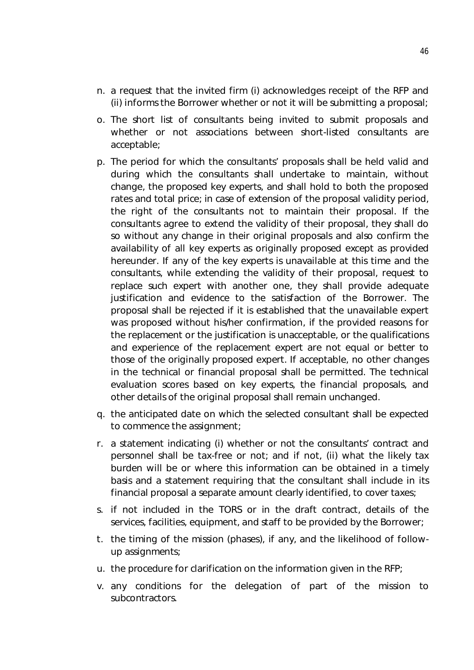- n. a request that the invited firm (i) acknowledges receipt of the RFP and (ii) informs the Borrower whether or not it will be submitting a proposal;
- o. The short list of consultants being invited to submit proposals and whether or not associations between short-listed consultants are acceptable;
- p. The period for which the consultants' proposals shall be held valid and during which the consultants shall undertake to maintain, without change, the proposed key experts, and shall hold to both the proposed rates and total price; in case of extension of the proposal validity period, the right of the consultants not to maintain their proposal. If the consultants agree to extend the validity of their proposal, they shall do so without any change in their original proposals and also confirm the availability of all key experts as originally proposed except as provided hereunder. If any of the key experts is unavailable at this time and the consultants, while extending the validity of their proposal, request to replace such expert with another one, they shall provide adequate justification and evidence to the satisfaction of the Borrower. The proposal shall be rejected if it is established that the unavailable expert was proposed without his/her confirmation, if the provided reasons for the replacement or the justification is unacceptable, or the qualifications and experience of the replacement expert are not equal or better to those of the originally proposed expert. If acceptable, no other changes in the technical or financial proposal shall be permitted. The technical evaluation scores based on key experts, the financial proposals, and other details of the original proposal shall remain unchanged.
- q. the anticipated date on which the selected consultant shall be expected to commence the assignment;
- r. a statement indicating (i) whether or not the consultants' contract and personnel shall be tax-free or not; and if not, (ii) what the likely tax burden will be or where this information can be obtained in a timely basis and a statement requiring that the consultant shall include in its financial proposal a separate amount clearly identified, to cover taxes;
- s. if not included in the TORS or in the draft contract, details of the services, facilities, equipment, and staff to be provided by the Borrower;
- t. the timing of the mission (phases), if any, and the likelihood of followup assignments;
- u. the procedure for clarification on the information given in the RFP;
- v. any conditions for the delegation of part of the mission to subcontractors.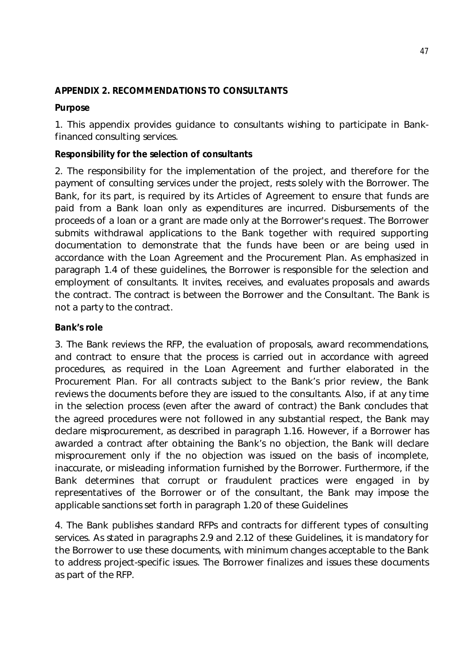### **APPENDIX 2. RECOMMENDATIONS TO CONSULTANTS**

### **Purpose**

1. This appendix provides guidance to consultants wishing to participate in Bankfinanced consulting services.

### **Responsibility for the selection of consultants**

2. The responsibility for the implementation of the project, and therefore for the payment of consulting services under the project, rests solely with the Borrower. The Bank, for its part, is required by its Articles of Agreement to ensure that funds are paid from a Bank loan only as expenditures are incurred. Disbursements of the proceeds of a loan or a grant are made only at the Borrower's request. The Borrower submits withdrawal applications to the Bank together with required supporting documentation to demonstrate that the funds have been or are being used in accordance with the Loan Agreement and the Procurement Plan. As emphasized in paragraph 1.4 of these guidelines, the Borrower is responsible for the selection and employment of consultants. It invites, receives, and evaluates proposals and awards the contract. The contract is between the Borrower and the Consultant. The Bank is not a party to the contract.

### **Bank's role**

3. The Bank reviews the RFP, the evaluation of proposals, award recommendations, and contract to ensure that the process is carried out in accordance with agreed procedures, as required in the Loan Agreement and further elaborated in the Procurement Plan. For all contracts subject to the Bank's prior review, the Bank reviews the documents before they are issued to the consultants. Also, if at any time in the selection process (even after the award of contract) the Bank concludes that the agreed procedures were not followed in any substantial respect, the Bank may declare misprocurement, as described in paragraph 1.16. However, if a Borrower has awarded a contract after obtaining the Bank's no objection, the Bank will declare misprocurement only if the no objection was issued on the basis of incomplete, inaccurate, or misleading information furnished by the Borrower. Furthermore, if the Bank determines that corrupt or fraudulent practices were engaged in by representatives of the Borrower or of the consultant, the Bank may impose the applicable sanctions set forth in paragraph 1.20 of these Guidelines

4. The Bank publishes standard RFPs and contracts for different types of consulting services. As stated in paragraphs 2.9 and 2.12 of these Guidelines, it is mandatory for the Borrower to use these documents, with minimum changes acceptable to the Bank to address project-specific issues. The Borrower finalizes and issues these documents as part of the RFP.